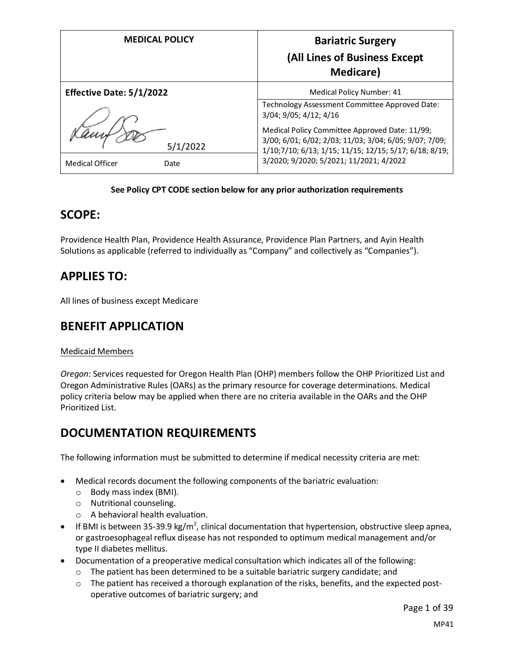| <b>MEDICAL POLICY</b>                      | <b>Bariatric Surgery</b><br>(All Lines of Business Except<br><b>Medicare</b> )                                                                                                                                |
|--------------------------------------------|---------------------------------------------------------------------------------------------------------------------------------------------------------------------------------------------------------------|
| <b>Effective Date: 5/1/2022</b>            | Medical Policy Number: 41<br>Technology Assessment Committee Approved Date:<br>3/04; 9/05; 4/12; 4/16                                                                                                         |
| 5/1/2022<br><b>Medical Officer</b><br>Date | Medical Policy Committee Approved Date: 11/99;<br>3/00; 6/01; 6/02; 2/03; 11/03; 3/04; 6/05; 9/07; 7/09;<br>1/10;7/10; 6/13; 1/15; 11/15; 12/15; 5/17; 6/18; 8/19;<br>3/2020; 9/2020; 5/2021; 11/2021; 4/2022 |

#### **See Policy CPT CODE section below for any prior authorization requirements**

## **SCOPE:**

Providence Health Plan, Providence Health Assurance, Providence Plan Partners, and Ayin Health Solutions as applicable (referred to individually as "Company" and collectively as "Companies").

# **APPLIES TO:**

All lines of business except Medicare

# **BENEFIT APPLICATION**

#### Medicaid Members

*Oregon*: Services requested for Oregon Health Plan (OHP) members follow the OHP Prioritized List and Oregon Administrative Rules (OARs) as the primary resource for coverage determinations. Medical policy criteria below may be applied when there are no criteria available in the OARs and the OHP Prioritized List.

# **DOCUMENTATION REQUIREMENTS**

The following information must be submitted to determine if medical necessity criteria are met:

- Medical records document the following components of the bariatric evaluation:
	- o Body mass index (BMI).
	- o Nutritional counseling.
	- o A behavioral health evaluation.
- If BMI is between 35-39.9 kg/m<sup>2</sup>, clinical documentation that hypertension, obstructive sleep apnea, or gastroesophageal reflux disease has not responded to optimum medical management and/or type II diabetes mellitus.
- Documentation of a preoperative medical consultation which indicates all of the following:
	- $\circ$  The patient has been determined to be a suitable bariatric surgery candidate; and
	- $\circ$  The patient has received a thorough explanation of the risks, benefits, and the expected postoperative outcomes of bariatric surgery; and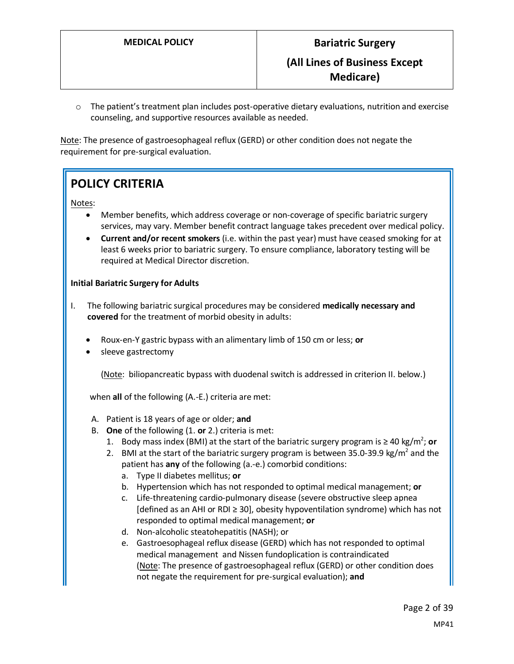$\circ$  The patient's treatment plan includes post-operative dietary evaluations, nutrition and exercise counseling, and supportive resources available as needed.

Note: The presence of gastroesophageal reflux (GERD) or other condition does not negate the requirement for pre-surgical evaluation.

# **POLICY CRITERIA**

Notes:

- Member benefits, which address coverage or non-coverage of specific bariatric surgery services, may vary. Member benefit contract language takes precedent over medical policy.
- **Current and/or recent smokers** (i.e. within the past year) must have ceased smoking for at least 6 weeks prior to bariatric surgery. To ensure compliance, laboratory testing will be required at Medical Director discretion.

#### **Initial Bariatric Surgery for Adults**

- I. The following bariatric surgical procedures may be considered **medically necessary and covered** for the treatment of morbid obesity in adults:
	- Roux-en-Y gastric bypass with an alimentary limb of 150 cm or less; **or**
	- sleeve gastrectomy

(Note: biliopancreatic bypass with duodenal switch is addressed in criterion II. below.)

when **all** of the following (A.-E.) criteria are met:

- A. Patient is 18 years of age or older; **and**
- B. **One** of the following (1. **or** 2.) criteria is met:
	- 1. Body mass index (BMI) at the start of the bariatric surgery program is  $\geq 40$  kg/m<sup>2</sup>; or
	- 2. BMI at the start of the bariatric surgery program is between 35.0-39.9 kg/m<sup>2</sup> and the patient has **any** of the following (a.-e.) comorbid conditions:
		- a. Type II diabetes mellitus; **or**
		- b. Hypertension which has not responded to optimal medical management; **or**
		- c. Life-threatening cardio-pulmonary disease (severe obstructive sleep apnea [defined as an AHI or RDI ≥ 30], obesity hypoventilation syndrome) which has not responded to optimal medical management; **or**
		- d. Non-alcoholic steatohepatitis (NASH); or
		- e. Gastroesophageal reflux disease (GERD) which has not responded to optimal medical management and Nissen fundoplication is contraindicated (Note: The presence of gastroesophageal reflux (GERD) or other condition does not negate the requirement for pre-surgical evaluation); **and**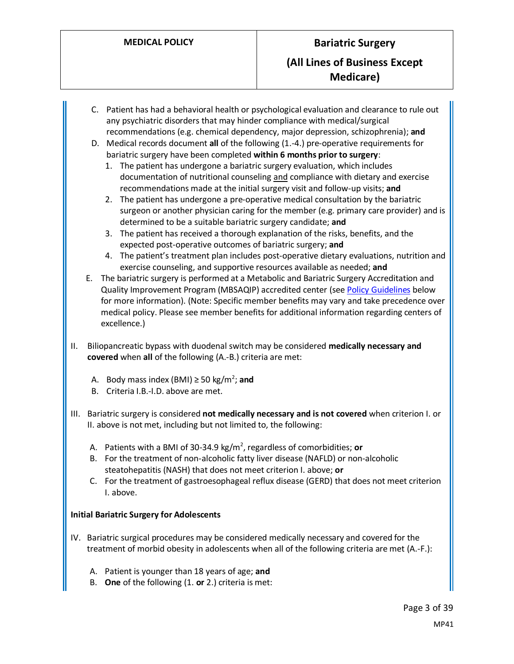- C. Patient has had a behavioral health or psychological evaluation and clearance to rule out any psychiatric disorders that may hinder compliance with medical/surgical recommendations (e.g. chemical dependency, major depression, schizophrenia); **and**
- D. Medical records document **all** of the following (1.-4.) pre-operative requirements for bariatric surgery have been completed **within 6 months prior to surgery**:
	- 1. The patient has undergone a bariatric surgery evaluation, which includes documentation of nutritional counseling and compliance with dietary and exercise recommendations made at the initial surgery visit and follow-up visits; **and**
	- 2. The patient has undergone a pre-operative medical consultation by the bariatric surgeon or another physician caring for the member (e.g. primary care provider) and is determined to be a suitable bariatric surgery candidate; **and**
	- 3. The patient has received a thorough explanation of the risks, benefits, and the expected post-operative outcomes of bariatric surgery; **and**
	- 4. The patient's treatment plan includes post-operative dietary evaluations, nutrition and exercise counseling, and supportive resources available as needed; **and**
- E. The bariatric surgery is performed at a Metabolic and Bariatric Surgery Accreditation and Quality Improvement Program (MBSAQIP) accredited center (se[e Policy Guidelines](#page-7-0) below for more information). (Note: Specific member benefits may vary and take precedence over medical policy. Please see member benefits for additional information regarding centers of excellence.)
- II. Biliopancreatic bypass with duodenal switch may be considered **medically necessary and covered** when **all** of the following (A.-B.) criteria are met:
	- A. Body mass index (BMI) ≥ 50 kg/m<sup>2</sup>; and
	- B. Criteria I.B.-I.D. above are met.
- III. Bariatric surgery is considered **not medically necessary and is not covered** when criterion I. or II. above is not met, including but not limited to, the following:
	- A. Patients with a BMI of 30-34.9 kg/m<sup>2</sup>, regardless of comorbidities; **or**
	- B. For the treatment of non-alcoholic fatty liver disease (NAFLD) or non-alcoholic steatohepatitis (NASH) that does not meet criterion I. above; **or**
	- C. For the treatment of gastroesophageal reflux disease (GERD) that does not meet criterion I. above.

#### **Initial Bariatric Surgery for Adolescents**

- IV. Bariatric surgical procedures may be considered medically necessary and covered for the treatment of morbid obesity in adolescents when all of the following criteria are met (A.-F.):
	- A. Patient is younger than 18 years of age; **and**
	- B. **One** of the following (1. **or** 2.) criteria is met: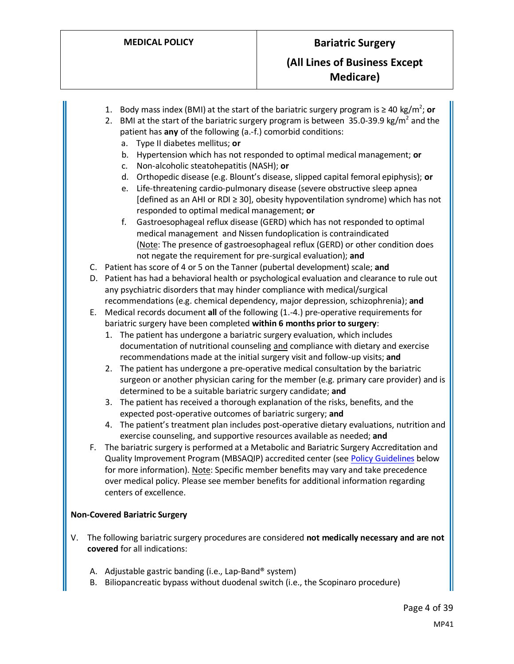- 1. Body mass index (BMI) at the start of the bariatric surgery program is  $\geq 40$  kg/m<sup>2</sup>; or
- 2. BMI at the start of the bariatric surgery program is between  $35.0$ -39.9 kg/m<sup>2</sup> and the patient has **any** of the following (a.-f.) comorbid conditions:
	- a. Type II diabetes mellitus; **or**
	- b. Hypertension which has not responded to optimal medical management; **or**
	- c. Non-alcoholic steatohepatitis (NASH); **or**
	- d. Orthopedic disease (e.g. Blount's disease, slipped capital femoral epiphysis); **or**
	- e. Life-threatening cardio-pulmonary disease (severe obstructive sleep apnea [defined as an AHI or RDI ≥ 30], obesity hypoventilation syndrome) which has not responded to optimal medical management; **or**
	- f. Gastroesophageal reflux disease (GERD) which has not responded to optimal medical management and Nissen fundoplication is contraindicated (Note: The presence of gastroesophageal reflux (GERD) or other condition does not negate the requirement for pre-surgical evaluation); **and**
- C. Patient has score of 4 or 5 on the Tanner (pubertal development) scale; **and**
- D. Patient has had a behavioral health or psychological evaluation and clearance to rule out any psychiatric disorders that may hinder compliance with medical/surgical recommendations (e.g. chemical dependency, major depression, schizophrenia); **and**
- E. Medical records document **all** of the following (1.-4.) pre-operative requirements for bariatric surgery have been completed **within 6 months prior to surgery**:
	- 1. The patient has undergone a bariatric surgery evaluation, which includes documentation of nutritional counseling and compliance with dietary and exercise recommendations made at the initial surgery visit and follow-up visits; **and**
	- 2. The patient has undergone a pre-operative medical consultation by the bariatric surgeon or another physician caring for the member (e.g. primary care provider) and is determined to be a suitable bariatric surgery candidate; **and**
	- 3. The patient has received a thorough explanation of the risks, benefits, and the expected post-operative outcomes of bariatric surgery; **and**
	- 4. The patient's treatment plan includes post-operative dietary evaluations, nutrition and exercise counseling, and supportive resources available as needed; **and**
- F. The bariatric surgery is performed at a Metabolic and Bariatric Surgery Accreditation and Quality Improvement Program (MBSAQIP) accredited center (se[e Policy Guidelines](#page-7-0) below for more information). Note: Specific member benefits may vary and take precedence over medical policy. Please see member benefits for additional information regarding centers of excellence.

#### **Non-Covered Bariatric Surgery**

- V. The following bariatric surgery procedures are considered **not medically necessary and are not covered** for all indications:
	- A. Adjustable gastric banding (i.e., Lap-Band® system)
	- B. Biliopancreatic bypass without duodenal switch (i.e., the Scopinaro procedure)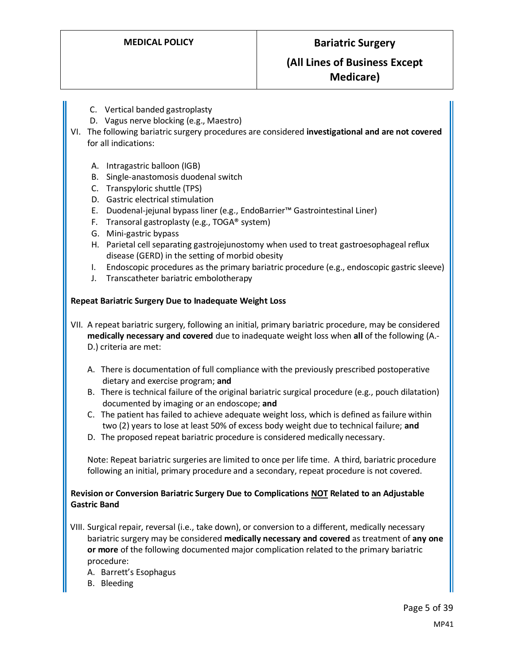# **(All Lines of Business Except Medicare)**

- C. Vertical banded gastroplasty
- D. Vagus nerve blocking (e.g., Maestro)
- VI. The following bariatric surgery procedures are considered **investigational and are not covered** for all indications:
	- A. Intragastric balloon (IGB)
	- B. Single-anastomosis duodenal switch
	- C. Transpyloric shuttle (TPS)
	- D. Gastric electrical stimulation
	- E. Duodenal-jejunal bypass liner (e.g., EndoBarrier™ Gastrointestinal Liner)
	- F. Transoral gastroplasty (e.g., TOGA® system)
	- G. Mini-gastric bypass
	- H. Parietal cell separating gastrojejunostomy when used to treat gastroesophageal reflux disease (GERD) in the setting of morbid obesity
	- I. Endoscopic procedures as the primary bariatric procedure (e.g., endoscopic gastric sleeve)
	- J. Transcatheter bariatric embolotherapy

#### **Repeat Bariatric Surgery Due to Inadequate Weight Loss**

VII. A repeat bariatric surgery, following an initial, primary bariatric procedure, may be considered **medically necessary and covered** due to inadequate weight loss when **all** of the following (A.- D.) criteria are met:

- A. There is documentation of full compliance with the previously prescribed postoperative dietary and exercise program; **and**
- B. There is technical failure of the original bariatric surgical procedure (e.g., pouch dilatation) documented by imaging or an endoscope; **and**
- C. The patient has failed to achieve adequate weight loss, which is defined as failure within two (2) years to lose at least 50% of excess body weight due to technical failure; **and**
- D. The proposed repeat bariatric procedure is considered medically necessary.

Note: Repeat bariatric surgeries are limited to once per life time. A third, bariatric procedure following an initial, primary procedure and a secondary, repeat procedure is not covered.

#### **Revision or Conversion Bariatric Surgery Due to Complications NOT Related to an Adjustable Gastric Band**

- VIII. Surgical repair, reversal (i.e., take down), or conversion to a different, medically necessary bariatric surgery may be considered **medically necessary and covered** as treatment of **any one or more** of the following documented major complication related to the primary bariatric procedure:
	- A. Barrett's Esophagus
	- B. Bleeding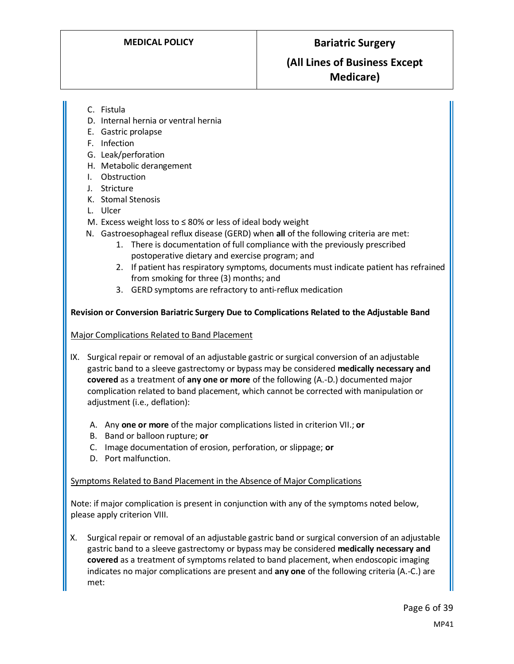# **(All Lines of Business Except Medicare)**

- C. Fistula
- D. Internal hernia or ventral hernia
- E. Gastric prolapse
- F. Infection
- G. Leak/perforation
- H. Metabolic derangement
- I. Obstruction
- J. Stricture
- K. Stomal Stenosis
- L. Ulcer
- M. Excess weight loss to ≤ 80% or less of ideal body weight
- N. Gastroesophageal reflux disease (GERD) when **all** of the following criteria are met:
	- 1. There is documentation of full compliance with the previously prescribed postoperative dietary and exercise program; and
	- 2. If patient has respiratory symptoms, documents must indicate patient has refrained from smoking for three (3) months; and
	- 3. GERD symptoms are refractory to anti-reflux medication

#### **Revision or Conversion Bariatric Surgery Due to Complications Related to the Adjustable Band**

#### Major Complications Related to Band Placement

- IX. Surgical repair or removal of an adjustable gastric or surgical conversion of an adjustable gastric band to a sleeve gastrectomy or bypass may be considered **medically necessary and covered** as a treatment of **any one or more** of the following (A.-D.) documented major complication related to band placement, which cannot be corrected with manipulation or adjustment (i.e., deflation):
	- A. Any **one or more** of the major complications listed in criterion VII.; **or**
	- B. Band or balloon rupture; **or**
	- C. Image documentation of erosion, perforation, or slippage; **or**
	- D. Port malfunction.

#### Symptoms Related to Band Placement in the Absence of Major Complications

Note: if major complication is present in conjunction with any of the symptoms noted below, please apply criterion VIII.

X. Surgical repair or removal of an adjustable gastric band or surgical conversion of an adjustable gastric band to a sleeve gastrectomy or bypass may be considered **medically necessary and covered** as a treatment of symptoms related to band placement, when endoscopic imaging indicates no major complications are present and **any one** of the following criteria (A.-C.) are met: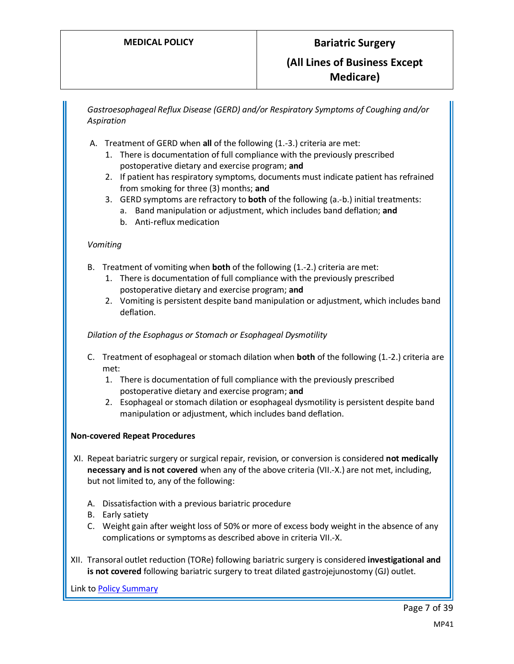*Gastroesophageal Reflux Disease (GERD) and/or Respiratory Symptoms of Coughing and/or Aspiration*

- A. Treatment of GERD when **all** of the following (1.-3.) criteria are met:
	- 1. There is documentation of full compliance with the previously prescribed postoperative dietary and exercise program; **and**
	- 2. If patient has respiratory symptoms, documents must indicate patient has refrained from smoking for three (3) months; **and**
	- 3. GERD symptoms are refractory to **both** of the following (a.-b.) initial treatments:
		- a. Band manipulation or adjustment, which includes band deflation; **and**
		- b. Anti-reflux medication

#### *Vomiting*

- B. Treatment of vomiting when **both** of the following (1.-2.) criteria are met:
	- 1. There is documentation of full compliance with the previously prescribed postoperative dietary and exercise program; **and**
	- 2. Vomiting is persistent despite band manipulation or adjustment, which includes band deflation.

#### *Dilation of the Esophagus or Stomach or Esophageal Dysmotility*

- C. Treatment of esophageal or stomach dilation when **both** of the following (1.-2.) criteria are met:
	- 1. There is documentation of full compliance with the previously prescribed postoperative dietary and exercise program; **and**
	- 2. Esophageal or stomach dilation or esophageal dysmotility is persistent despite band manipulation or adjustment, which includes band deflation.

#### **Non-covered Repeat Procedures**

- XI. Repeat bariatric surgery or surgical repair, revision, or conversion is considered **not medically necessary and is not covered** when any of the above criteria (VII.-X.) are not met, including, but not limited to, any of the following:
	- A. Dissatisfaction with a previous bariatric procedure
	- B. Early satiety
	- C. Weight gain after weight loss of 50% or more of excess body weight in the absence of any complications or symptoms as described above in criteria VII.-X.
- XII. Transoral outlet reduction (TORe) following bariatric surgery is considered **investigational and is not covered** following bariatric surgery to treat dilated gastrojejunostomy (GJ) outlet.

Link t[o Policy Summary](#page-31-0)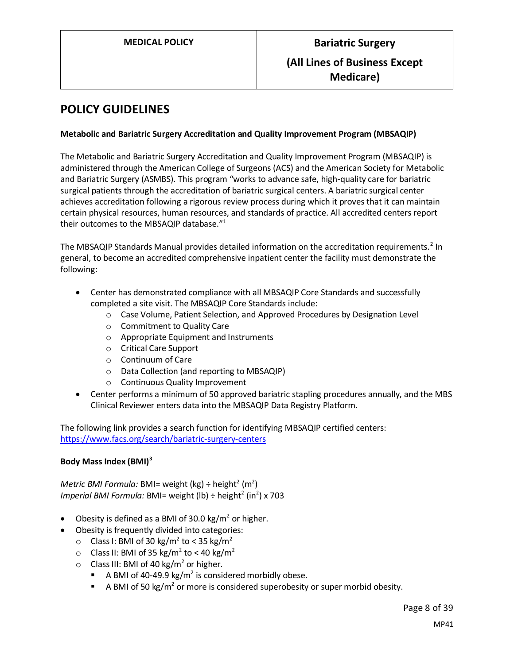# <span id="page-7-0"></span>**POLICY GUIDELINES**

#### **Metabolic and Bariatric Surgery Accreditation and Quality Improvement Program (MBSAQIP)**

The Metabolic and Bariatric Surgery Accreditation and Quality Improvement Program (MBSAQIP) is administered through the American College of Surgeons (ACS) and the American Society for Metabolic and Bariatric Surgery (ASMBS). This program "works to advance safe, high-quality care for bariatric surgical patients through the accreditation of bariatric surgical centers. A bariatric surgical center achieves accreditation following a rigorous review process during which it proves that it can maintain certain physical resources, human resources, and standards of practice. All accredited centers report their outcomes to the MBSAQIP database." 1

The MBSAQIP Standards Manual provides detailed information on the accreditation requirements.<sup>2</sup> In general, to become an accredited comprehensive inpatient center the facility must demonstrate the following:

- Center has demonstrated compliance with all MBSAQIP Core Standards and successfully completed a site visit. The MBSAQIP Core Standards include:
	- o Case Volume, Patient Selection, and Approved Procedures by Designation Level
	- o Commitment to Quality Care
	- o Appropriate Equipment and Instruments
	- o Critical Care Support
	- o Continuum of Care
	- o Data Collection (and reporting to MBSAQIP)
	- o Continuous Quality Improvement
- Center performs a minimum of 50 approved bariatric stapling procedures annually, and the MBS Clinical Reviewer enters data into the MBSAQIP Data Registry Platform.

The following link provides a search function for identifying MBSAQIP certified centers: <https://www.facs.org/search/bariatric-surgery-centers>

#### **Body Mass Index (BMI)<sup>3</sup>**

 $\mathsf{Metric}$  *BMI Formula:* BMI= weight (kg) ÷ height $^2$  (m $^2$ ) *Imperial BMI Formula:* BMI= weight (lb) ÷ height<sup>2</sup> (in<sup>2</sup>) x 703

- Obesity is defined as a BMI of 30.0 kg/ $m^2$  or higher.
- Obesity is frequently divided into categories:
	- $\circ$  Class I: BMI of 30 kg/m<sup>2</sup> to < 35 kg/m<sup>2</sup>
	- $\circ$  Class II: BMI of 35 kg/m<sup>2</sup> to < 40 kg/m<sup>2</sup>
	- $\circ$  Class III: BMI of 40 kg/m<sup>2</sup> or higher.
		- **E** A BMI of 40-49.9 kg/m<sup>2</sup> is considered morbidly obese.
		- **EXEDMI** of 50 kg/m<sup>2</sup> or more is considered superobesity or super morbid obesity.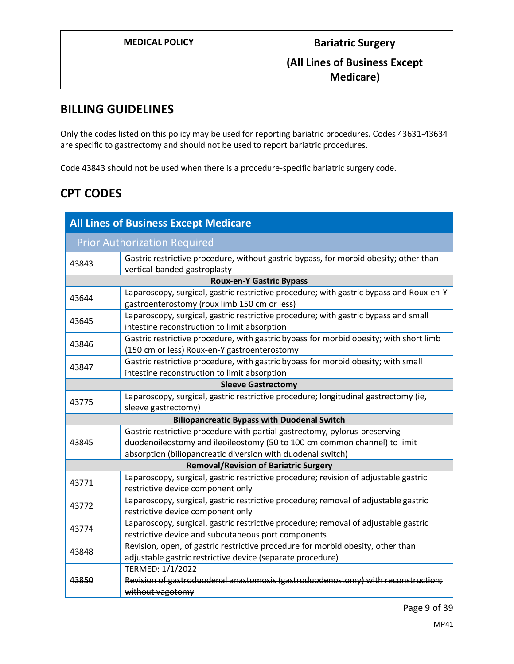# **BILLING GUIDELINES**

Only the codes listed on this policy may be used for reporting bariatric procedures. Codes 43631-43634 are specific to gastrectomy and should not be used to report bariatric procedures.

Code 43843 should not be used when there is a procedure-specific bariatric surgery code.

# **CPT CODES**

| <b>All Lines of Business Except Medicare</b>       |                                                                                                                                                                                                                        |  |
|----------------------------------------------------|------------------------------------------------------------------------------------------------------------------------------------------------------------------------------------------------------------------------|--|
| <b>Prior Authorization Required</b>                |                                                                                                                                                                                                                        |  |
| 43843                                              | Gastric restrictive procedure, without gastric bypass, for morbid obesity; other than<br>vertical-banded gastroplasty                                                                                                  |  |
|                                                    | <b>Roux-en-Y Gastric Bypass</b>                                                                                                                                                                                        |  |
| 43644                                              | Laparoscopy, surgical, gastric restrictive procedure; with gastric bypass and Roux-en-Y<br>gastroenterostomy (roux limb 150 cm or less)                                                                                |  |
| 43645                                              | Laparoscopy, surgical, gastric restrictive procedure; with gastric bypass and small<br>intestine reconstruction to limit absorption                                                                                    |  |
| 43846                                              | Gastric restrictive procedure, with gastric bypass for morbid obesity; with short limb<br>(150 cm or less) Roux-en-Y gastroenterostomy                                                                                 |  |
| 43847                                              | Gastric restrictive procedure, with gastric bypass for morbid obesity; with small<br>intestine reconstruction to limit absorption                                                                                      |  |
| <b>Sleeve Gastrectomy</b>                          |                                                                                                                                                                                                                        |  |
| 43775                                              | Laparoscopy, surgical, gastric restrictive procedure; longitudinal gastrectomy (ie,<br>sleeve gastrectomy)                                                                                                             |  |
| <b>Biliopancreatic Bypass with Duodenal Switch</b> |                                                                                                                                                                                                                        |  |
| 43845                                              | Gastric restrictive procedure with partial gastrectomy, pylorus-preserving<br>duodenoileostomy and ileoileostomy (50 to 100 cm common channel) to limit<br>absorption (biliopancreatic diversion with duodenal switch) |  |
|                                                    | <b>Removal/Revision of Bariatric Surgery</b>                                                                                                                                                                           |  |
| 43771                                              | Laparoscopy, surgical, gastric restrictive procedure; revision of adjustable gastric<br>restrictive device component only                                                                                              |  |
| 43772                                              | Laparoscopy, surgical, gastric restrictive procedure; removal of adjustable gastric<br>restrictive device component only                                                                                               |  |
| 43774                                              | Laparoscopy, surgical, gastric restrictive procedure; removal of adjustable gastric<br>restrictive device and subcutaneous port components                                                                             |  |
| 43848                                              | Revision, open, of gastric restrictive procedure for morbid obesity, other than<br>adjustable gastric restrictive device (separate procedure)                                                                          |  |
| 43850                                              | TERMED: 1/1/2022<br>Revision of gastroduodenal anastomosis (gastroduodenostomy) with reconstruction;<br>without vagotomy                                                                                               |  |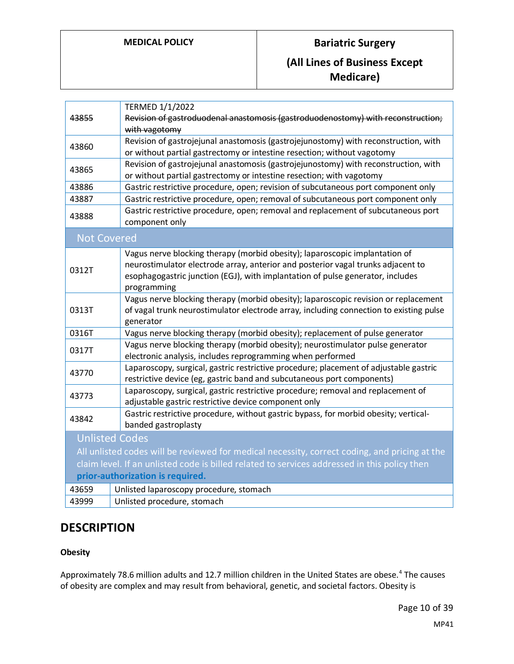# **MEDICAL POLICY Bariatric Surgery**

# **(All Lines of Business Except Medicare)**

| 43855                                                                                                                | TERMED 1/1/2022<br>Revision of gastroduodenal anastomosis (gastroduodenostomy) with reconstruction;<br>with vagotomy                                                                                                                                             |  |
|----------------------------------------------------------------------------------------------------------------------|------------------------------------------------------------------------------------------------------------------------------------------------------------------------------------------------------------------------------------------------------------------|--|
| 43860                                                                                                                | Revision of gastrojejunal anastomosis (gastrojejunostomy) with reconstruction, with<br>or without partial gastrectomy or intestine resection; without vagotomy                                                                                                   |  |
| 43865                                                                                                                | Revision of gastrojejunal anastomosis (gastrojejunostomy) with reconstruction, with<br>or without partial gastrectomy or intestine resection; with vagotomy                                                                                                      |  |
| 43886                                                                                                                | Gastric restrictive procedure, open; revision of subcutaneous port component only                                                                                                                                                                                |  |
| 43887                                                                                                                | Gastric restrictive procedure, open; removal of subcutaneous port component only                                                                                                                                                                                 |  |
| 43888                                                                                                                | Gastric restrictive procedure, open; removal and replacement of subcutaneous port<br>component only                                                                                                                                                              |  |
| <b>Not Covered</b>                                                                                                   |                                                                                                                                                                                                                                                                  |  |
| 0312T                                                                                                                | Vagus nerve blocking therapy (morbid obesity); laparoscopic implantation of<br>neurostimulator electrode array, anterior and posterior vagal trunks adjacent to<br>esophagogastric junction (EGJ), with implantation of pulse generator, includes<br>programming |  |
| 0313T                                                                                                                | Vagus nerve blocking therapy (morbid obesity); laparoscopic revision or replacement<br>of vagal trunk neurostimulator electrode array, including connection to existing pulse<br>generator                                                                       |  |
| 0316T                                                                                                                | Vagus nerve blocking therapy (morbid obesity); replacement of pulse generator                                                                                                                                                                                    |  |
| 0317T                                                                                                                | Vagus nerve blocking therapy (morbid obesity); neurostimulator pulse generator<br>electronic analysis, includes reprogramming when performed                                                                                                                     |  |
| 43770                                                                                                                | Laparoscopy, surgical, gastric restrictive procedure; placement of adjustable gastric<br>restrictive device (eg, gastric band and subcutaneous port components)                                                                                                  |  |
| 43773                                                                                                                | Laparoscopy, surgical, gastric restrictive procedure; removal and replacement of<br>adjustable gastric restrictive device component only                                                                                                                         |  |
| Gastric restrictive procedure, without gastric bypass, for morbid obesity; vertical-<br>43842<br>banded gastroplasty |                                                                                                                                                                                                                                                                  |  |
|                                                                                                                      | <b>Unlisted Codes</b>                                                                                                                                                                                                                                            |  |
| All unlisted codes will be reviewed for medical necessity, correct coding, and pricing at the                        |                                                                                                                                                                                                                                                                  |  |
| claim level. If an unlisted code is billed related to services addressed in this policy then                         |                                                                                                                                                                                                                                                                  |  |
| prior-authorization is required.                                                                                     |                                                                                                                                                                                                                                                                  |  |
| 43659                                                                                                                | Unlisted laparoscopy procedure, stomach                                                                                                                                                                                                                          |  |
| 43999                                                                                                                | Unlisted procedure, stomach                                                                                                                                                                                                                                      |  |

# **DESCRIPTION**

### **Obesity**

Approximately 78.6 million adults and 12.7 million children in the United States are obese.<sup>4</sup> The causes of obesity are complex and may result from behavioral, genetic, and societal factors. Obesity is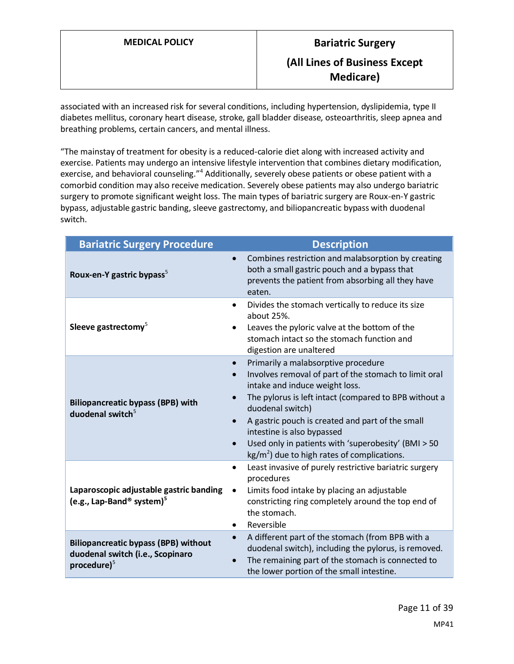associated with an increased risk for several conditions, including hypertension, dyslipidemia, type II diabetes mellitus, coronary heart disease, stroke, gall bladder disease, osteoarthritis, sleep apnea and breathing problems, certain cancers, and mental illness.

"The mainstay of treatment for obesity is a reduced-calorie diet along with increased activity and exercise. Patients may undergo an intensive lifestyle intervention that combines dietary modification, exercise, and behavioral counseling."<sup>4</sup> Additionally, severely obese patients or obese patient with a comorbid condition may also receive medication. Severely obese patients may also undergo bariatric surgery to promote significant weight loss. The main types of bariatric surgery are Roux-en-Y gastric bypass, adjustable gastric banding, sleeve gastrectomy, and biliopancreatic bypass with duodenal switch.

| <b>Bariatric Surgery Procedure</b>                                                                         | <b>Description</b>                                                                                                                                                                                                                                                                                                                                                                                                                                                |
|------------------------------------------------------------------------------------------------------------|-------------------------------------------------------------------------------------------------------------------------------------------------------------------------------------------------------------------------------------------------------------------------------------------------------------------------------------------------------------------------------------------------------------------------------------------------------------------|
| Roux-en-Y gastric bypass <sup>5</sup>                                                                      | Combines restriction and malabsorption by creating<br>$\bullet$<br>both a small gastric pouch and a bypass that<br>prevents the patient from absorbing all they have<br>eaten.                                                                                                                                                                                                                                                                                    |
| Sleeve gastrectomy <sup>5</sup>                                                                            | Divides the stomach vertically to reduce its size<br>about 25%.<br>Leaves the pyloric valve at the bottom of the<br>stomach intact so the stomach function and<br>digestion are unaltered                                                                                                                                                                                                                                                                         |
| <b>Biliopancreatic bypass (BPB) with</b><br>duodenal switch $5$                                            | Primarily a malabsorptive procedure<br>$\bullet$<br>Involves removal of part of the stomach to limit oral<br>$\bullet$<br>intake and induce weight loss.<br>The pylorus is left intact (compared to BPB without a<br>duodenal switch)<br>A gastric pouch is created and part of the small<br>$\bullet$<br>intestine is also bypassed<br>Used only in patients with 'superobesity' (BMI > 50<br>$\bullet$<br>$\text{kg/m}^2$ ) due to high rates of complications. |
| Laparoscopic adjustable gastric banding<br>(e.g., Lap-Band <sup>®</sup> system) <sup>5</sup>               | Least invasive of purely restrictive bariatric surgery<br>$\bullet$<br>procedures<br>Limits food intake by placing an adjustable<br>$\bullet$<br>constricting ring completely around the top end of<br>the stomach.<br>Reversible<br>$\bullet$                                                                                                                                                                                                                    |
| <b>Biliopancreatic bypass (BPB) without</b><br>duodenal switch (i.e., Scopinaro<br>procedure) <sup>5</sup> | A different part of the stomach (from BPB with a<br>$\bullet$<br>duodenal switch), including the pylorus, is removed.<br>The remaining part of the stomach is connected to<br>the lower portion of the small intestine.                                                                                                                                                                                                                                           |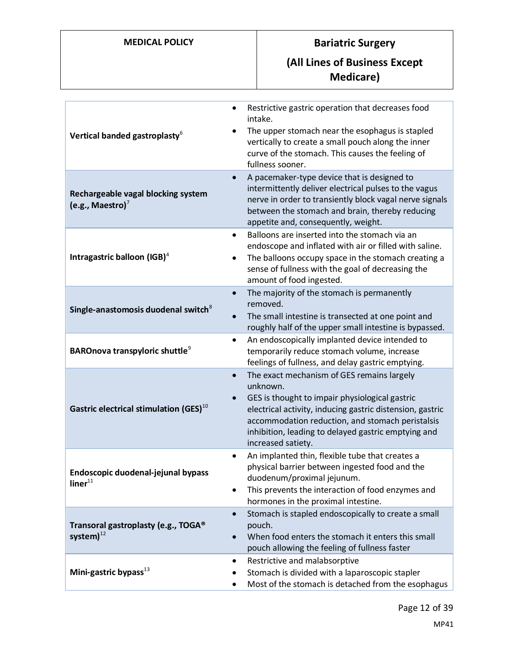# **MEDICAL POLICY Bariatric Surgery**

# **(All Lines of Business Except Medicare)**

| Vertical banded gastroplasty <sup>6</sup>                    | Restrictive gastric operation that decreases food<br>$\bullet$<br>intake.<br>The upper stomach near the esophagus is stapled<br>vertically to create a small pouch along the inner<br>curve of the stomach. This causes the feeling of<br>fullness sooner.                                                          |
|--------------------------------------------------------------|---------------------------------------------------------------------------------------------------------------------------------------------------------------------------------------------------------------------------------------------------------------------------------------------------------------------|
| Rechargeable vagal blocking system<br>(e.g., Maestro) $^7$   | A pacemaker-type device that is designed to<br>intermittently deliver electrical pulses to the vagus<br>nerve in order to transiently block vagal nerve signals<br>between the stomach and brain, thereby reducing<br>appetite and, consequently, weight.                                                           |
| Intragastric balloon $(IGB)^4$                               | Balloons are inserted into the stomach via an<br>$\bullet$<br>endoscope and inflated with air or filled with saline.<br>The balloons occupy space in the stomach creating a<br>sense of fullness with the goal of decreasing the<br>amount of food ingested.                                                        |
| Single-anastomosis duodenal switch <sup>8</sup>              | The majority of the stomach is permanently<br>$\bullet$<br>removed.<br>The small intestine is transected at one point and<br>roughly half of the upper small intestine is bypassed.                                                                                                                                 |
| <b>BAROnova transpyloric shuttle</b> <sup>9</sup>            | An endoscopically implanted device intended to<br>$\bullet$<br>temporarily reduce stomach volume, increase<br>feelings of fullness, and delay gastric emptying.                                                                                                                                                     |
| Gastric electrical stimulation (GES) $^{10}$                 | The exact mechanism of GES remains largely<br>$\bullet$<br>unknown.<br>GES is thought to impair physiological gastric<br>electrical activity, inducing gastric distension, gastric<br>accommodation reduction, and stomach peristalsis<br>inhibition, leading to delayed gastric emptying and<br>increased satiety. |
| Endoscopic duodenal-jejunal bypass<br>$\mathsf{liner}^{11}$  | An implanted thin, flexible tube that creates a<br>٠<br>physical barrier between ingested food and the<br>duodenum/proximal jejunum.<br>This prevents the interaction of food enzymes and<br>hormones in the proximal intestine.                                                                                    |
| Transoral gastroplasty (e.g., TOGA®<br>system) <sup>12</sup> | Stomach is stapled endoscopically to create a small<br>pouch.<br>When food enters the stomach it enters this small<br>$\bullet$<br>pouch allowing the feeling of fullness faster                                                                                                                                    |
| Mini-gastric bypass $^{13}$                                  | Restrictive and malabsorptive<br>$\bullet$<br>Stomach is divided with a laparoscopic stapler<br>Most of the stomach is detached from the esophagus                                                                                                                                                                  |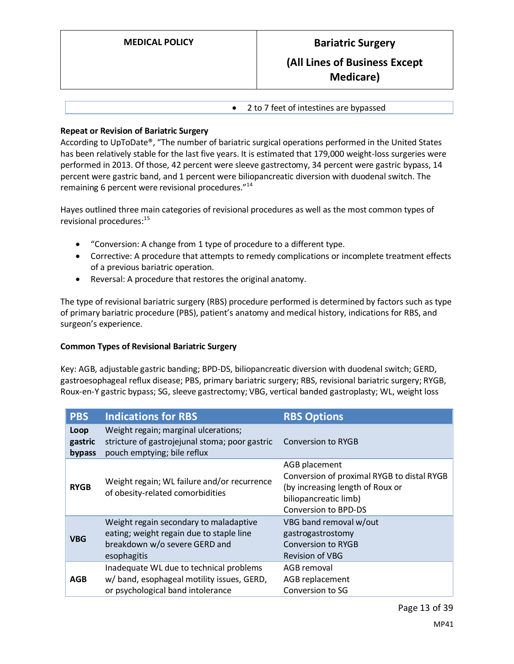• 2 to 7 feet of intestines are bypassed

#### **Repeat or Revision of Bariatric Surgery**

According to UpToDate®, "The number of bariatric surgical operations performed in the United States has been relatively stable for the last five years. It is estimated that 179,000 weight-loss surgeries were performed in 2013. Of those, 42 percent were sleeve gastrectomy, 34 percent were gastric bypass, 14 percent were gastric band, and 1 percent were biliopancreatic diversion with duodenal switch. The remaining 6 percent were revisional procedures."<sup>14</sup>

Hayes outlined three main categories of revisional procedures as well as the most common types of revisional procedures:<sup>15</sup>

- "Conversion: A change from 1 type of procedure to a different type.
- Corrective: A procedure that attempts to remedy complications or incomplete treatment effects of a previous bariatric operation.
- Reversal: A procedure that restores the original anatomy.

The type of revisional bariatric surgery (RBS) procedure performed is determined by factors such as type of primary bariatric procedure (PBS), patient's anatomy and medical history, indications for RBS, and surgeon's experience.

#### **Common Types of Revisional Bariatric Surgery**

Key: AGB, adjustable gastric banding; BPD-DS, biliopancreatic diversion with duodenal switch; GERD, gastroesophageal reflux disease; PBS, primary bariatric surgery; RBS, revisional bariatric surgery; RYGB, Roux-en-Y gastric bypass; SG, sleeve gastrectomy; VBG, vertical banded gastroplasty; WL, weight loss

| <b>PBS</b>                | <b>Indications for RBS</b>                                                                                                         | <b>RBS Options</b>                                                                                                                               |
|---------------------------|------------------------------------------------------------------------------------------------------------------------------------|--------------------------------------------------------------------------------------------------------------------------------------------------|
| Loop<br>gastric<br>bypass | Weight regain; marginal ulcerations;<br>stricture of gastrojejunal stoma; poor gastric<br>pouch emptying; bile reflux              | <b>Conversion to RYGB</b>                                                                                                                        |
| <b>RYGB</b>               | Weight regain; WL failure and/or recurrence<br>of obesity-related comorbidities                                                    | AGB placement<br>Conversion of proximal RYGB to distal RYGB<br>(by increasing length of Roux or<br>biliopancreatic limb)<br>Conversion to BPD-DS |
| <b>VBG</b>                | Weight regain secondary to maladaptive<br>eating; weight regain due to staple line<br>breakdown w/o severe GERD and<br>esophagitis | VBG band removal w/out<br>gastrogastrostomy<br><b>Conversion to RYGB</b><br><b>Revision of VBG</b>                                               |
| <b>AGB</b>                | Inadequate WL due to technical problems<br>w/ band, esophageal motility issues, GERD,<br>or psychological band intolerance         | AGB removal<br>AGB replacement<br>Conversion to SG                                                                                               |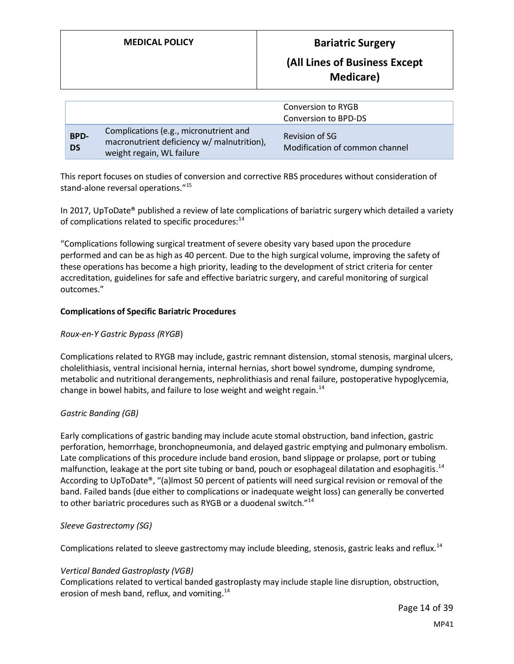# **(All Lines of Business Except Medicare)**

|                          |                                                                                                                   | Conversion to RYGB<br>Conversion to BPD-DS       |
|--------------------------|-------------------------------------------------------------------------------------------------------------------|--------------------------------------------------|
| <b>BPD-</b><br><b>DS</b> | Complications (e.g., micronutrient and<br>macronutrient deficiency w/ malnutrition),<br>weight regain, WL failure | Revision of SG<br>Modification of common channel |

This report focuses on studies of conversion and corrective RBS procedures without consideration of stand-alone reversal operations."<sup>15</sup>

In 2017, UpToDate® published a review of late complications of bariatric surgery which detailed a variety of complications related to specific procedures:<sup>14</sup>

"Complications following surgical treatment of severe obesity vary based upon the procedure performed and can be as high as 40 percent. Due to the high surgical volume, improving the safety of these operations has become a high priority, leading to the development of strict criteria for center accreditation, guidelines for safe and effective bariatric surgery, and careful monitoring of surgical outcomes."

#### **Complications of Specific Bariatric Procedures**

#### *Roux-en-Y Gastric Bypass (RYGB*)

Complications related to RYGB may include, gastric remnant distension, stomal stenosis, marginal ulcers, cholelithiasis, ventral incisional hernia, internal hernias, short bowel syndrome, dumping syndrome, metabolic and nutritional derangements, nephrolithiasis and renal failure, postoperative hypoglycemia, change in bowel habits, and failure to lose weight and weight regain.<sup>14</sup>

#### *Gastric Banding (GB)*

Early complications of gastric banding may include acute stomal obstruction, band infection, gastric perforation, hemorrhage, bronchopneumonia, and delayed gastric emptying and pulmonary embolism. Late complications of this procedure include band erosion, band slippage or prolapse, port or tubing malfunction, leakage at the port site tubing or band, pouch or esophageal dilatation and esophagitis.<sup>14</sup> According to UpToDate®, "(a)lmost 50 percent of patients will need surgical revision or removal of the band. Failed bands (due either to complications or inadequate weight loss) can generally be converted to other bariatric procedures such as RYGB or a duodenal switch."<sup>14</sup>

#### *Sleeve Gastrectomy (SG)*

Complications related to sleeve gastrectomy may include bleeding, stenosis, gastric leaks and reflux.<sup>14</sup>

#### *Vertical Banded Gastroplasty (VGB)*

Complications related to vertical banded gastroplasty may include staple line disruption, obstruction, erosion of mesh band, reflux, and vomiting.<sup>14</sup>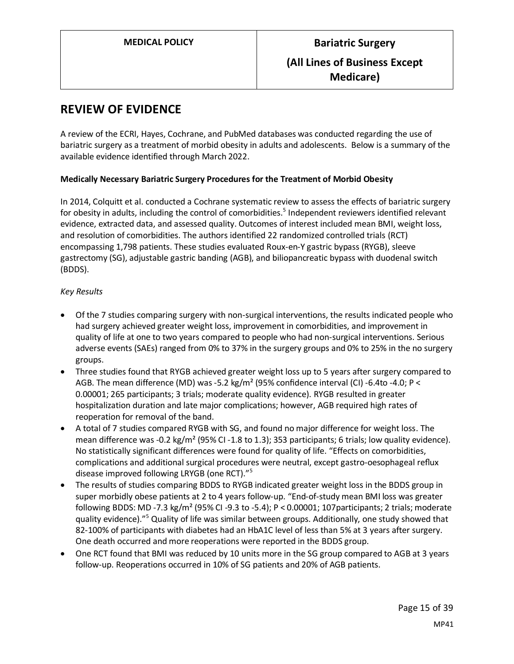# **REVIEW OF EVIDENCE**

A review of the ECRI, Hayes, Cochrane, and PubMed databases was conducted regarding the use of bariatric surgery as a treatment of morbid obesity in adults and adolescents. Below is a summary of the available evidence identified through March 2022.

#### **Medically Necessary Bariatric Surgery Procedures for the Treatment of Morbid Obesity**

In 2014, Colquitt et al. conducted a Cochrane systematic review to assess the effects of bariatric surgery for obesity in adults, including the control of comorbidities.<sup>5</sup> Independent reviewers identified relevant evidence, extracted data, and assessed quality. Outcomes of interest included mean BMI, weight loss, and resolution of comorbidities. The authors identified 22 randomized controlled trials (RCT) encompassing 1,798 patients. These studies evaluated Roux-en-Y gastric bypass (RYGB), sleeve gastrectomy (SG), adjustable gastric banding (AGB), and biliopancreatic bypass with duodenal switch (BDDS).

#### *Key Results*

- Of the 7 studies comparing surgery with non-surgical interventions, the results indicated people who had surgery achieved greater weight loss, improvement in comorbidities, and improvement in quality of life at one to two years compared to people who had non-surgical interventions. Serious adverse events (SAEs) ranged from 0% to 37% in the surgery groups and 0% to 25% in the no surgery groups.
- Three studies found that RYGB achieved greater weight loss up to 5 years after surgery compared to AGB. The mean difference (MD) was -5.2 kg/m<sup>2</sup> (95% confidence interval (CI) -6.4to -4.0; P < 0.00001; 265 participants; 3 trials; moderate quality evidence). RYGB resulted in greater hospitalization duration and late major complications; however, AGB required high rates of reoperation for removal of the band.
- A total of 7 studies compared RYGB with SG, and found no major difference for weight loss. The mean difference was -0.2 kg/m<sup>2</sup> (95% CI -1.8 to 1.3); 353 participants; 6 trials; low quality evidence). No statistically significant differences were found for quality of life. "Effects on comorbidities, complications and additional surgical procedures were neutral, except gastro-oesophageal reflux disease improved following LRYGB (one RCT)."<sup>5</sup>
- The results of studies comparing BDDS to RYGB indicated greater weight loss in the BDDS group in super morbidly obese patients at 2 to 4 years follow-up. "End-of-study mean BMI loss was greater following BDDS: MD -7.3 kg/m² (95% CI -9.3 to -5.4); P < 0.00001; 107participants; 2 trials; moderate quality evidence)."<sup>5</sup> Quality of life was similar between groups. Additionally, one study showed that 82-100% of participants with diabetes had an HbA1C level of less than 5% at 3 years after surgery. One death occurred and more reoperations were reported in the BDDS group.
- One RCT found that BMI was reduced by 10 units more in the SG group compared to AGB at 3 years follow-up. Reoperations occurred in 10% of SG patients and 20% of AGB patients.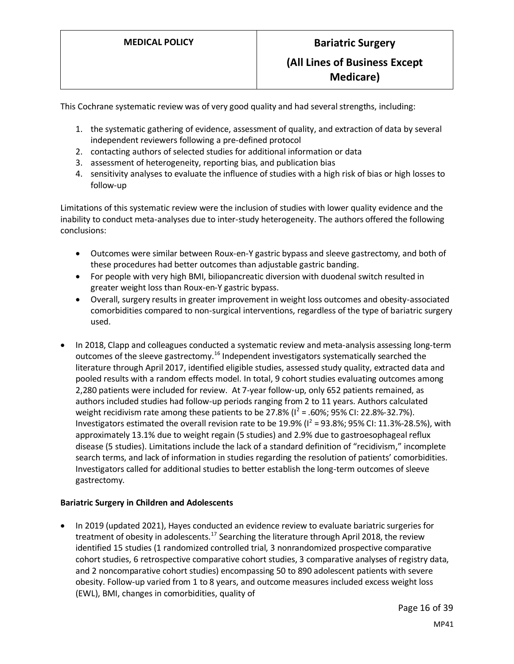This Cochrane systematic review was of very good quality and had several strengths, including:

- 1. the systematic gathering of evidence, assessment of quality, and extraction of data by several independent reviewers following a pre-defined protocol
- 2. contacting authors of selected studies for additional information or data
- 3. assessment of heterogeneity, reporting bias, and publication bias
- 4. sensitivity analyses to evaluate the influence of studies with a high risk of bias or high losses to follow-up

Limitations of this systematic review were the inclusion of studies with lower quality evidence and the inability to conduct meta-analyses due to inter-study heterogeneity. The authors offered the following conclusions:

- Outcomes were similar between Roux-en-Y gastric bypass and sleeve gastrectomy, and both of these procedures had better outcomes than adjustable gastric banding.
- For people with very high BMI, biliopancreatic diversion with duodenal switch resulted in greater weight loss than Roux-en-Y gastric bypass.
- Overall, surgery results in greater improvement in weight loss outcomes and obesity-associated comorbidities compared to non-surgical interventions, regardless of the type of bariatric surgery used.
- In 2018, Clapp and colleagues conducted a systematic review and meta-analysis assessing long-term outcomes of the sleeve gastrectomy.<sup>16</sup> Independent investigators systematically searched the literature through April 2017, identified eligible studies, assessed study quality, extracted data and pooled results with a random effects model. In total, 9 cohort studies evaluating outcomes among 2,280 patients were included for review. At 7-year follow-up, only 652 patients remained, as authors included studies had follow-up periods ranging from 2 to 11 years. Authors calculated weight recidivism rate among these patients to be 27.8% ( $1^2$  = .60%; 95% CI: 22.8%-32.7%). Investigators estimated the overall revision rate to be 19.9% ( $I^2$  = 93.8%; 95% CI: 11.3%-28.5%), with approximately 13.1% due to weight regain (5 studies) and 2.9% due to gastroesophageal reflux disease (5 studies). Limitations include the lack of a standard definition of "recidivism," incomplete search terms, and lack of information in studies regarding the resolution of patients' comorbidities. Investigators called for additional studies to better establish the long-term outcomes of sleeve gastrectomy.

#### **Bariatric Surgery in Children and Adolescents**

• In 2019 (updated 2021), Hayes conducted an evidence review to evaluate bariatric surgeries for treatment of obesity in adolescents.<sup>17</sup> Searching the literature through April 2018, the review identified 15 studies (1 randomized controlled trial, 3 nonrandomized prospective comparative cohort studies, 6 retrospective comparative cohort studies, 3 comparative analyses of registry data, and 2 noncomparative cohort studies) encompassing 50 to 890 adolescent patients with severe obesity. Follow-up varied from 1 to 8 years, and outcome measures included excess weight loss (EWL), BMI, changes in comorbidities, quality of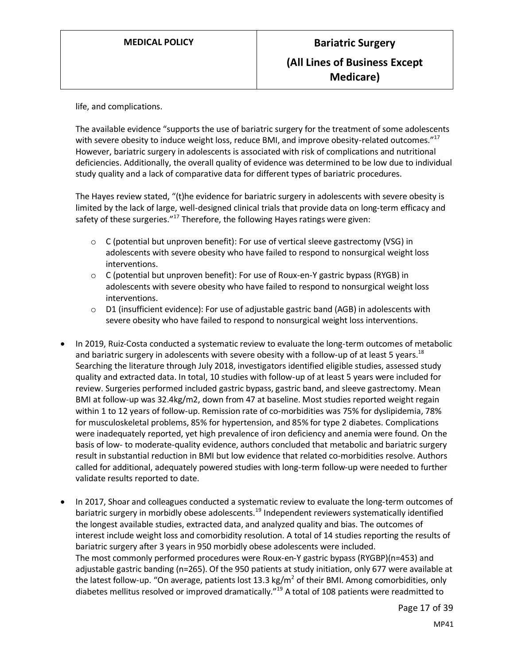life, and complications.

The available evidence "supports the use of bariatric surgery for the treatment of some adolescents with severe obesity to induce weight loss, reduce BMI, and improve obesity-related outcomes."<sup>17</sup> However, bariatric surgery in adolescents is associated with risk of complications and nutritional deficiencies. Additionally, the overall quality of evidence was determined to be low due to individual study quality and a lack of comparative data for different types of bariatric procedures.

The Hayes review stated, "(t)he evidence for bariatric surgery in adolescents with severe obesity is limited by the lack of large, well-designed clinical trials that provide data on long-term efficacy and safety of these surgeries." $17$  Therefore, the following Hayes ratings were given:

- $\circ$  C (potential but unproven benefit): For use of vertical sleeve gastrectomy (VSG) in adolescents with severe obesity who have failed to respond to nonsurgical weight loss interventions.
- $\circ$  C (potential but unproven benefit): For use of Roux-en-Y gastric bypass (RYGB) in adolescents with severe obesity who have failed to respond to nonsurgical weight loss interventions.
- $\circ$  D1 (insufficient evidence): For use of adjustable gastric band (AGB) in adolescents with severe obesity who have failed to respond to nonsurgical weight loss interventions.
- In 2019, Ruiz-Costa conducted a systematic review to evaluate the long-term outcomes of metabolic and bariatric surgery in adolescents with severe obesity with a follow-up of at least 5 years.<sup>18</sup> Searching the literature through July 2018, investigators identified eligible studies, assessed study quality and extracted data. In total, 10 studies with follow-up of at least 5 years were included for review. Surgeries performed included gastric bypass, gastric band, and sleeve gastrectomy. Mean BMI at follow-up was 32.4kg/m2, down from 47 at baseline. Most studies reported weight regain within 1 to 12 years of follow-up. Remission rate of co-morbidities was 75% for dyslipidemia, 78% for musculoskeletal problems, 85% for hypertension, and 85% for type 2 diabetes. Complications were inadequately reported, yet high prevalence of iron deficiency and anemia were found. On the basis of low- to moderate-quality evidence, authors concluded that metabolic and bariatric surgery result in substantial reduction in BMI but low evidence that related co-morbidities resolve. Authors called for additional, adequately powered studies with long-term follow-up were needed to further validate results reported to date.
- In 2017, Shoar and colleagues conducted a systematic review to evaluate the long-term outcomes of bariatric surgery in morbidly obese adolescents.<sup>19</sup> Independent reviewers systematically identified the longest available studies, extracted data, and analyzed quality and bias. The outcomes of interest include weight loss and comorbidity resolution. A total of 14 studies reporting the results of bariatric surgery after 3 years in 950 morbidly obese adolescents were included. The most commonly performed procedures were Roux-en-Y gastric bypass (RYGBP)(n=453) and adjustable gastric banding (n=265). Of the 950 patients at study initiation, only 677 were available at the latest follow-up. "On average, patients lost 13.3 kg/m<sup>2</sup> of their BMI. Among comorbidities, only diabetes mellitus resolved or improved dramatically.<sup>"19</sup> A total of 108 patients were readmitted to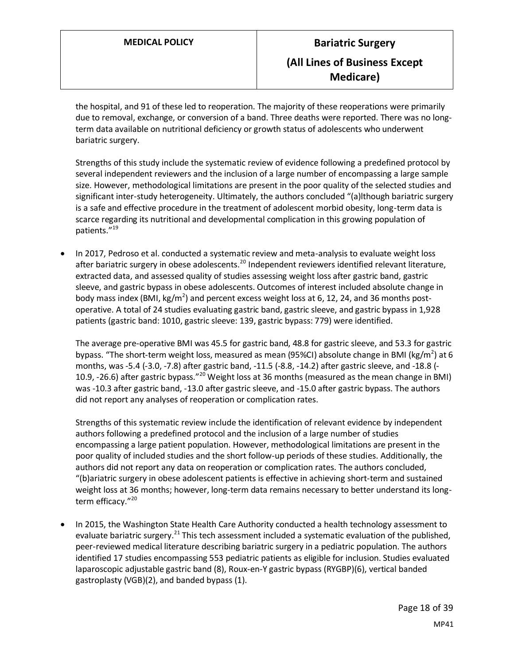the hospital, and 91 of these led to reoperation. The majority of these reoperations were primarily due to removal, exchange, or conversion of a band. Three deaths were reported. There was no longterm data available on nutritional deficiency or growth status of adolescents who underwent bariatric surgery.

Strengths of this study include the systematic review of evidence following a predefined protocol by several independent reviewers and the inclusion of a large number of encompassing a large sample size. However, methodological limitations are present in the poor quality of the selected studies and significant inter-study heterogeneity. Ultimately, the authors concluded "(a)lthough bariatric surgery is a safe and effective procedure in the treatment of adolescent morbid obesity, long-term data is scarce regarding its nutritional and developmental complication in this growing population of patients."<sup>19</sup>

• In 2017, Pedroso et al. conducted a systematic review and meta-analysis to evaluate weight loss after bariatric surgery in obese adolescents.<sup>20</sup> Independent reviewers identified relevant literature, extracted data, and assessed quality of studies assessing weight loss after gastric band, gastric sleeve, and gastric bypass in obese adolescents. Outcomes of interest included absolute change in body mass index (BMI, kg/m<sup>2</sup>) and percent excess weight loss at 6, 12, 24, and 36 months postoperative. A total of 24 studies evaluating gastric band, gastric sleeve, and gastric bypass in 1,928 patients (gastric band: 1010, gastric sleeve: 139, gastric bypass: 779) were identified.

The average pre-operative BMI was 45.5 for gastric band, 48.8 for gastric sleeve, and 53.3 for gastric bypass. "The short-term weight loss, measured as mean (95%CI) absolute change in BMI (kg/m<sup>2</sup>) at 6 months, was -5.4 (-3.0, -7.8) after gastric band, -11.5 (-8.8, -14.2) after gastric sleeve, and -18.8 (- 10.9, -26.6) after gastric bypass."<sup>20</sup> Weight loss at 36 months (measured as the mean change in BMI) was -10.3 after gastric band, -13.0 after gastric sleeve, and -15.0 after gastric bypass. The authors did not report any analyses of reoperation or complication rates.

Strengths of this systematic review include the identification of relevant evidence by independent authors following a predefined protocol and the inclusion of a large number of studies encompassing a large patient population. However, methodological limitations are present in the poor quality of included studies and the short follow-up periods of these studies. Additionally, the authors did not report any data on reoperation or complication rates. The authors concluded, "(b)ariatric surgery in obese adolescent patients is effective in achieving short-term and sustained weight loss at 36 months; however, long-term data remains necessary to better understand its longterm efficacy."<sup>20</sup>

• In 2015, the Washington State Health Care Authority conducted a health technology assessment to evaluate bariatric surgery.<sup>21</sup> This tech assessment included a systematic evaluation of the published, peer-reviewed medical literature describing bariatric surgery in a pediatric population. The authors identified 17 studies encompassing 553 pediatric patients as eligible for inclusion. Studies evaluated laparoscopic adjustable gastric band (8), Roux-en-Y gastric bypass (RYGBP)(6), vertical banded gastroplasty (VGB)(2), and banded bypass (1).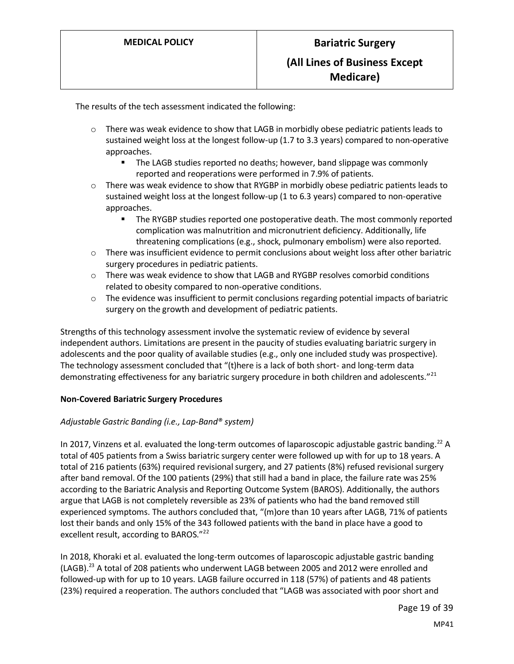The results of the tech assessment indicated the following:

- $\circ$  There was weak evidence to show that LAGB in morbidly obese pediatric patients leads to sustained weight loss at the longest follow-up (1.7 to 3.3 years) compared to non-operative approaches.
	- The LAGB studies reported no deaths; however, band slippage was commonly reported and reoperations were performed in 7.9% of patients.
- $\circ$  There was weak evidence to show that RYGBP in morbidly obese pediatric patients leads to sustained weight loss at the longest follow-up (1 to 6.3 years) compared to non-operative approaches.
	- **■** The RYGBP studies reported one postoperative death. The most commonly reported complication was malnutrition and micronutrient deficiency. Additionally, life threatening complications (e.g., shock, pulmonary embolism) were also reported.
- $\circ$  There was insufficient evidence to permit conclusions about weight loss after other bariatric surgery procedures in pediatric patients.
- $\circ$  There was weak evidence to show that LAGB and RYGBP resolves comorbid conditions related to obesity compared to non-operative conditions.
- $\circ$  The evidence was insufficient to permit conclusions regarding potential impacts of bariatric surgery on the growth and development of pediatric patients.

Strengths of this technology assessment involve the systematic review of evidence by several independent authors. Limitations are present in the paucity of studies evaluating bariatric surgery in adolescents and the poor quality of available studies (e.g., only one included study was prospective). The technology assessment concluded that "(t)here is a lack of both short- and long-term data demonstrating effectiveness for any bariatric surgery procedure in both children and adolescents."<sup>21</sup>

#### **Non-Covered Bariatric Surgery Procedures**

#### *Adjustable Gastric Banding (i.e., Lap-Band® system)*

In 2017, Vinzens et al. evaluated the long-term outcomes of laparoscopic adjustable gastric banding.<sup>22</sup> A total of 405 patients from a Swiss bariatric surgery center were followed up with for up to 18 years. A total of 216 patients (63%) required revisional surgery, and 27 patients (8%) refused revisional surgery after band removal. Of the 100 patients (29%) that still had a band in place, the failure rate was 25% according to the Bariatric Analysis and Reporting Outcome System (BAROS). Additionally, the authors argue that LAGB is not completely reversible as 23% of patients who had the band removed still experienced symptoms. The authors concluded that, "(m)ore than 10 years after LAGB, 71% of patients lost their bands and only 15% of the 343 followed patients with the band in place have a good to excellent result, according to BAROS."<sup>22</sup>

In 2018, Khoraki et al. evaluated the long-term outcomes of laparoscopic adjustable gastric banding (LAGB).<sup>23</sup> A total of 208 patients who underwent LAGB between 2005 and 2012 were enrolled and followed-up with for up to 10 years. LAGB failure occurred in 118 (57%) of patients and 48 patients (23%) required a reoperation. The authors concluded that "LAGB was associated with poor short and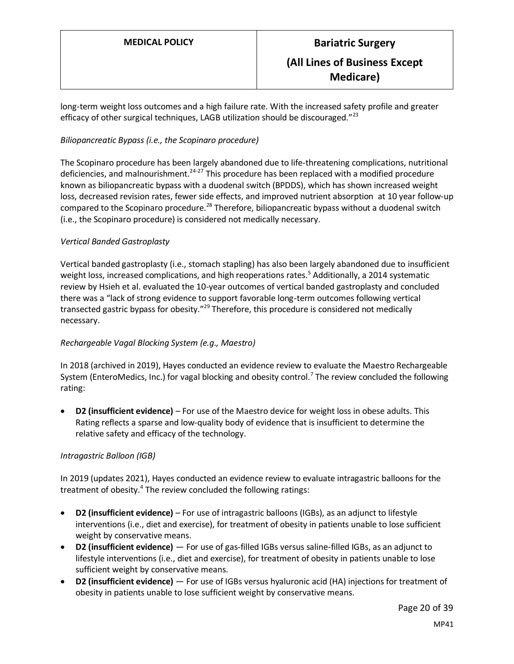long-term weight loss outcomes and a high failure rate. With the increased safety profile and greater efficacy of other surgical techniques, LAGB utilization should be discouraged." $^{23}$ 

#### *Biliopancreatic Bypass (i.e., the Scopinaro procedure)*

The Scopinaro procedure has been largely abandoned due to life-threatening complications, nutritional deficiencies, and malnourishment.<sup>24-27</sup> This procedure has been replaced with a modified procedure known as biliopancreatic bypass with a duodenal switch (BPDDS), which has shown increased weight loss, decreased revision rates, fewer side effects, and improved nutrient absorption at 10 year follow-up compared to the Scopinaro procedure.<sup>28</sup> Therefore, biliopancreatic bypass without a duodenal switch (i.e., the Scopinaro procedure) is considered not medically necessary.

#### *Vertical Banded Gastroplasty*

Vertical banded gastroplasty (i.e., stomach stapling) has also been largely abandoned due to insufficient weight loss, increased complications, and high reoperations rates.<sup>5</sup> Additionally, a 2014 systematic review by Hsieh et al. evaluated the 10-year outcomes of vertical banded gastroplasty and concluded there was a "lack of strong evidence to support favorable long-term outcomes following vertical transected gastric bypass for obesity."<sup>29</sup> Therefore, this procedure is considered not medically necessary.

#### *Rechargeable Vagal Blocking System (e.g., Maestro)*

In 2018 (archived in 2019), Hayes conducted an evidence review to evaluate the Maestro Rechargeable System (EnteroMedics, Inc.) for vagal blocking and obesity control.<sup>7</sup> The review concluded the following rating:

• **D2 (insufficient evidence)** – For use of the Maestro device for weight loss in obese adults. This Rating reflects a sparse and low-quality body of evidence that is insufficient to determine the relative safety and efficacy of the technology.

#### *Intragastric Balloon (IGB)*

In 2019 (updates 2021), Hayes conducted an evidence review to evaluate intragastric balloons for the treatment of obesity.<sup>4</sup> The review concluded the following ratings:

- **D2 (insufficient evidence)** For use of intragastric balloons (IGBs), as an adjunct to lifestyle interventions (i.e., diet and exercise), for treatment of obesity in patients unable to lose sufficient weight by conservative means.
- **D2 (insufficient evidence)** For use of gas-filled IGBs versus saline-filled IGBs, as an adjunct to lifestyle interventions (i.e., diet and exercise), for treatment of obesity in patients unable to lose sufficient weight by conservative means.
- **D2 (insufficient evidence)** For use of IGBs versus hyaluronic acid (HA) injections for treatment of obesity in patients unable to lose sufficient weight by conservative means.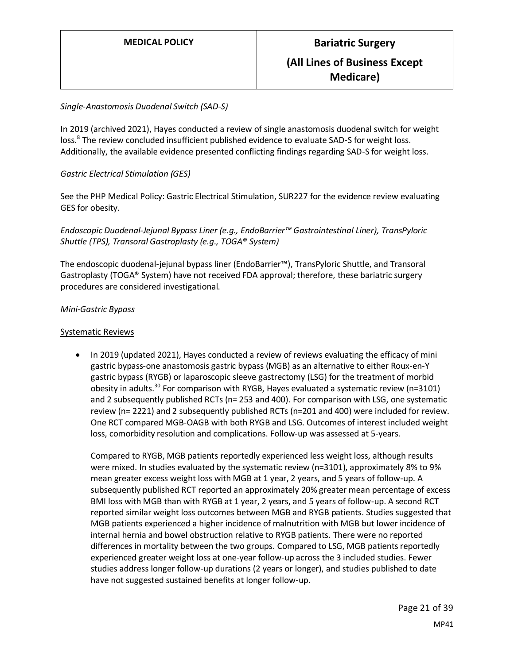#### *Single-Anastomosis Duodenal Switch (SAD-S)*

In 2019 (archived 2021), Hayes conducted a review of single anastomosis duodenal switch for weight loss.<sup>8</sup> The review concluded insufficient published evidence to evaluate SAD-S for weight loss. Additionally, the available evidence presented conflicting findings regarding SAD-S for weight loss.

#### *Gastric Electrical Stimulation (GES)*

See the PHP Medical Policy: Gastric Electrical Stimulation, SUR227 for the evidence review evaluating GES for obesity.

*Endoscopic Duodenal-Jejunal Bypass Liner (e.g., EndoBarrier™ Gastrointestinal Liner), TransPyloric Shuttle (TPS), Transoral Gastroplasty (e.g., TOGA® System)*

The endoscopic duodenal-jejunal bypass liner (EndoBarrier™), TransPyloric Shuttle, and Transoral Gastroplasty (TOGA® System) have not received FDA approval; therefore, these bariatric surgery procedures are considered investigational.

#### *Mini-Gastric Bypass*

#### Systematic Reviews

• In 2019 (updated 2021), Hayes conducted a review of reviews evaluating the efficacy of mini gastric bypass-one anastomosis gastric bypass (MGB) as an alternative to either Roux-en-Y gastric bypass (RYGB) or laparoscopic sleeve gastrectomy (LSG) for the treatment of morbid obesity in adults.<sup>30</sup> For comparison with RYGB, Hayes evaluated a systematic review ( $n=3101$ ) and 2 subsequently published RCTs (n= 253 and 400). For comparison with LSG, one systematic review (n= 2221) and 2 subsequently published RCTs (n=201 and 400) were included for review. One RCT compared MGB-OAGB with both RYGB and LSG. Outcomes of interest included weight loss, comorbidity resolution and complications. Follow-up was assessed at 5-years.

Compared to RYGB, MGB patients reportedly experienced less weight loss, although results were mixed. In studies evaluated by the systematic review (n=3101), approximately 8% to 9% mean greater excess weight loss with MGB at 1 year, 2 years, and 5 years of follow-up. A subsequently published RCT reported an approximately 20% greater mean percentage of excess BMI loss with MGB than with RYGB at 1 year, 2 years, and 5 years of follow-up. A second RCT reported similar weight loss outcomes between MGB and RYGB patients. Studies suggested that MGB patients experienced a higher incidence of malnutrition with MGB but lower incidence of internal hernia and bowel obstruction relative to RYGB patients. There were no reported differences in mortality between the two groups. Compared to LSG, MGB patients reportedly experienced greater weight loss at one-year follow-up across the 3 included studies. Fewer studies address longer follow-up durations (2 years or longer), and studies published to date have not suggested sustained benefits at longer follow-up.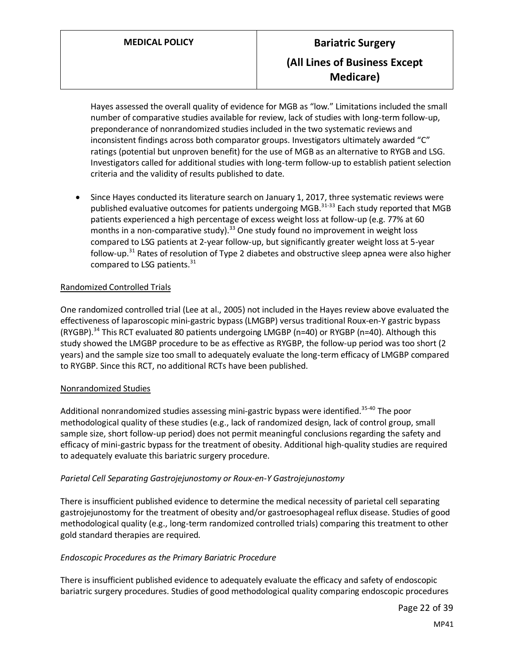Hayes assessed the overall quality of evidence for MGB as "low." Limitations included the small number of comparative studies available for review, lack of studies with long-term follow-up, preponderance of nonrandomized studies included in the two systematic reviews and inconsistent findings across both comparator groups. Investigators ultimately awarded "C" ratings (potential but unproven benefit) for the use of MGB as an alternative to RYGB and LSG. Investigators called for additional studies with long-term follow-up to establish patient selection criteria and the validity of results published to date.

• Since Hayes conducted its literature search on January 1, 2017, three systematic reviews were published evaluative outcomes for patients undergoing MGB.<sup>31-33</sup> Each study reported that MGB patients experienced a high percentage of excess weight loss at follow-up (e.g. 77% at 60 months in a non-comparative study). $33$  One study found no improvement in weight loss compared to LSG patients at 2-year follow-up, but significantly greater weight loss at 5-year follow-up.<sup>31</sup> Rates of resolution of Type 2 diabetes and obstructive sleep apnea were also higher compared to LSG patients.<sup>31</sup>

#### Randomized Controlled Trials

One randomized controlled trial (Lee at al., 2005) not included in the Hayes review above evaluated the effectiveness of laparoscopic mini-gastric bypass (LMGBP) versus traditional Roux-en-Y gastric bypass (RYGBP).<sup>34</sup> This RCT evaluated 80 patients undergoing LMGBP (n=40) or RYGBP (n=40). Although this study showed the LMGBP procedure to be as effective as RYGBP, the follow-up period was too short (2 years) and the sample size too small to adequately evaluate the long-term efficacy of LMGBP compared to RYGBP. Since this RCT, no additional RCTs have been published.

#### Nonrandomized Studies

Additional nonrandomized studies assessing mini-gastric bypass were identified.<sup>35-40</sup> The poor methodological quality of these studies (e.g., lack of randomized design, lack of control group, small sample size, short follow-up period) does not permit meaningful conclusions regarding the safety and efficacy of mini-gastric bypass for the treatment of obesity. Additional high-quality studies are required to adequately evaluate this bariatric surgery procedure.

#### *Parietal Cell Separating Gastrojejunostomy or Roux-en-Y Gastrojejunostomy*

There is insufficient published evidence to determine the medical necessity of parietal cell separating gastrojejunostomy for the treatment of obesity and/or gastroesophageal reflux disease. Studies of good methodological quality (e.g., long-term randomized controlled trials) comparing this treatment to other gold standard therapies are required.

#### *Endoscopic Procedures as the Primary Bariatric Procedure*

There is insufficient published evidence to adequately evaluate the efficacy and safety of endoscopic bariatric surgery procedures. Studies of good methodological quality comparing endoscopic procedures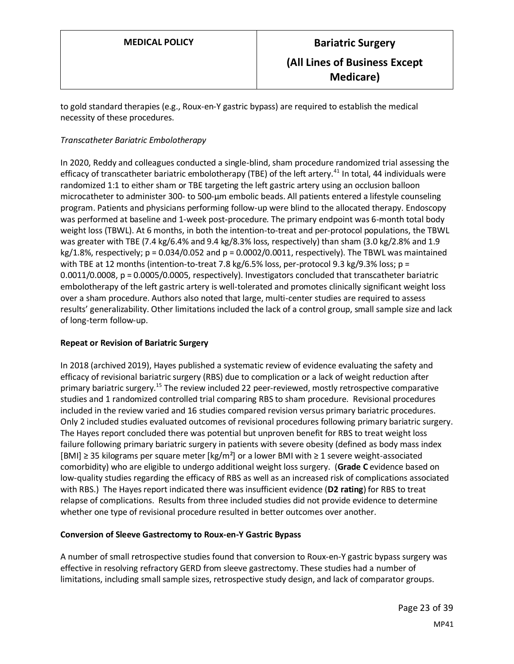to gold standard therapies (e.g., Roux-en-Y gastric bypass) are required to establish the medical necessity of these procedures.

#### *Transcatheter Bariatric Embolotherapy*

In 2020, Reddy and colleagues conducted a single-blind, sham procedure randomized trial assessing the efficacy of transcatheter bariatric embolotherapy (TBE) of the left artery.<sup>41</sup> In total, 44 individuals were randomized 1:1 to either sham or TBE targeting the left gastric artery using an occlusion balloon microcatheter to administer 300- to 500-μm embolic beads. All patients entered a lifestyle counseling program. Patients and physicians performing follow-up were blind to the allocated therapy. Endoscopy was performed at baseline and 1-week post-procedure. The primary endpoint was 6-month total body weight loss (TBWL). At 6 months, in both the intention-to-treat and per-protocol populations, the TBWL was greater with TBE (7.4 kg/6.4% and 9.4 kg/8.3% loss, respectively) than sham (3.0 kg/2.8% and 1.9  $kg/1.8$ %, respectively;  $p = 0.034/0.052$  and  $p = 0.0002/0.0011$ , respectively). The TBWL was maintained with TBE at 12 months (intention-to-treat 7.8 kg/6.5% loss, per-protocol 9.3 kg/9.3% loss; p = 0.0011/0.0008, p = 0.0005/0.0005, respectively). Investigators concluded that transcatheter bariatric embolotherapy of the left gastric artery is well-tolerated and promotes clinically significant weight loss over a sham procedure. Authors also noted that large, multi-center studies are required to assess results' generalizability. Other limitations included the lack of a control group, small sample size and lack of long-term follow-up.

#### **Repeat or Revision of Bariatric Surgery**

In 2018 (archived 2019), Hayes published a systematic review of evidence evaluating the safety and efficacy of revisional bariatric surgery (RBS) due to complication or a lack of weight reduction after primary bariatric surgery.<sup>15</sup> The review included 22 peer-reviewed, mostly retrospective comparative studies and 1 randomized controlled trial comparing RBS to sham procedure. Revisional procedures included in the review varied and 16 studies compared revision versus primary bariatric procedures. Only 2 included studies evaluated outcomes of revisional procedures following primary bariatric surgery. The Hayes report concluded there was potential but unproven benefit for RBS to treat weight loss failure following primary bariatric surgery in patients with severe obesity (defined as body mass index [BMI] ≥ 35 kilograms per square meter  $\lfloor \frac{kg}{m^2} \rfloor$  or a lower BMI with ≥ 1 severe weight-associated comorbidity) who are eligible to undergo additional weight loss surgery. (**Grade C** evidence based on low-quality studies regarding the efficacy of RBS as well as an increased risk of complications associated with RBS.) The Hayes report indicated there was insufficient evidence (**D2 rating**) for RBS to treat relapse of complications. Results from three included studies did not provide evidence to determine whether one type of revisional procedure resulted in better outcomes over another.

#### **Conversion of Sleeve Gastrectomy to Roux-en-Y Gastric Bypass**

A number of small retrospective studies found that conversion to Roux-en-Y gastric bypass surgery was effective in resolving refractory GERD from sleeve gastrectomy. These studies had a number of limitations, including small sample sizes, retrospective study design, and lack of comparator groups.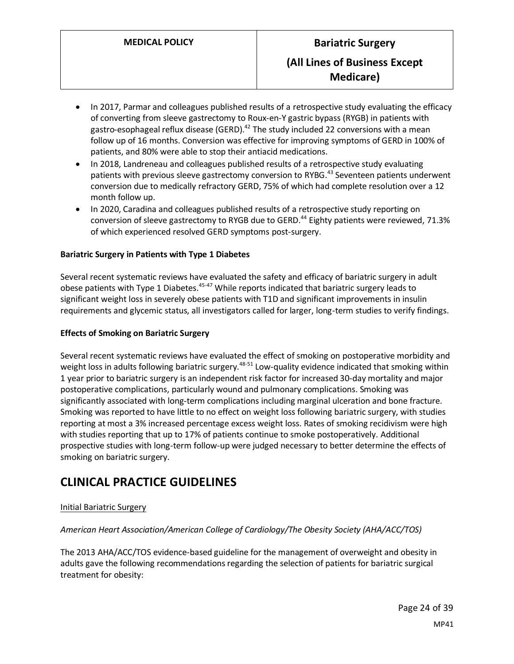- In 2017, Parmar and colleagues published results of a retrospective study evaluating the efficacy of converting from sleeve gastrectomy to Roux-en-Y gastric bypass (RYGB) in patients with gastro-esophageal reflux disease (GERD).<sup>42</sup> The study included 22 conversions with a mean follow up of 16 months. Conversion was effective for improving symptoms of GERD in 100% of patients, and 80% were able to stop their antiacid medications.
- In 2018, Landreneau and colleagues published results of a retrospective study evaluating patients with previous sleeve gastrectomy conversion to RYBG.<sup>43</sup> Seventeen patients underwent conversion due to medically refractory GERD, 75% of which had complete resolution over a 12 month follow up.
- In 2020, Caradina and colleagues published results of a retrospective study reporting on conversion of sleeve gastrectomy to RYGB due to GERD.<sup>44</sup> Eighty patients were reviewed, 71.3% of which experienced resolved GERD symptoms post-surgery.

#### **Bariatric Surgery in Patients with Type 1 Diabetes**

Several recent systematic reviews have evaluated the safety and efficacy of bariatric surgery in adult obese patients with Type 1 Diabetes.<sup>45-47</sup> While reports indicated that bariatric surgery leads to significant weight loss in severely obese patients with T1D and significant improvements in insulin requirements and glycemic status, all investigators called for larger, long-term studies to verify findings.

#### **Effects of Smoking on Bariatric Surgery**

Several recent systematic reviews have evaluated the effect of smoking on postoperative morbidity and weight loss in adults following bariatric surgery.<sup>48-51</sup> Low-quality evidence indicated that smoking within 1 year prior to bariatric surgery is an independent risk factor for increased 30-day mortality and major postoperative complications, particularly wound and pulmonary complications. Smoking was significantly associated with long-term complications including marginal ulceration and bone fracture. Smoking was reported to have little to no effect on weight loss following bariatric surgery, with studies reporting at most a 3% increased percentage excess weight loss. Rates of smoking recidivism were high with studies reporting that up to 17% of patients continue to smoke postoperatively. Additional prospective studies with long-term follow-up were judged necessary to better determine the effects of smoking on bariatric surgery.

# **CLINICAL PRACTICE GUIDELINES**

#### Initial Bariatric Surgery

#### *American Heart Association/American College of Cardiology/The Obesity Society (AHA/ACC/TOS)*

The 2013 AHA/ACC/TOS evidence-based guideline for the management of overweight and obesity in adults gave the following recommendations regarding the selection of patients for bariatric surgical treatment for obesity: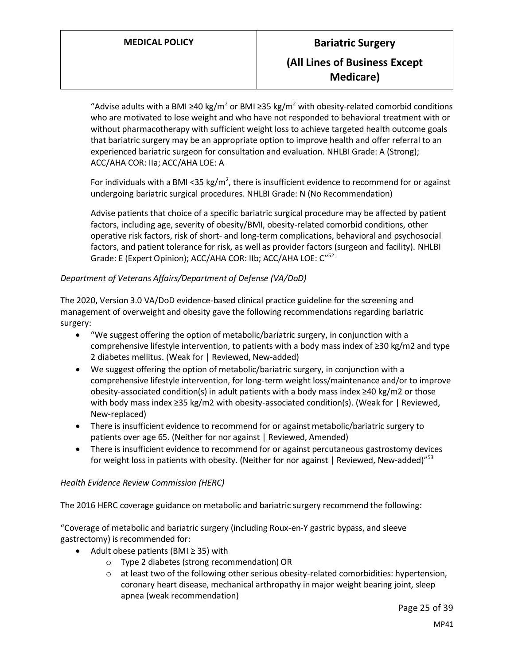"Advise adults with a BMI ≥40 kg/m<sup>2</sup> or BMI ≥35 kg/m<sup>2</sup> with obesity-related comorbid conditions who are motivated to lose weight and who have not responded to behavioral treatment with or without pharmacotherapy with sufficient weight loss to achieve targeted health outcome goals that bariatric surgery may be an appropriate option to improve health and offer referral to an experienced bariatric surgeon for consultation and evaluation. NHLBI Grade: A (Strong); ACC/AHA COR: IIa; ACC/AHA LOE: A

For individuals with a BMI <35 kg/m<sup>2</sup>, there is insufficient evidence to recommend for or against undergoing bariatric surgical procedures. NHLBI Grade: N (No Recommendation)

Advise patients that choice of a specific bariatric surgical procedure may be affected by patient factors, including age, severity of obesity/BMI, obesity-related comorbid conditions, other operative risk factors, risk of short- and long-term complications, behavioral and psychosocial factors, and patient tolerance for risk, as well as provider factors (surgeon and facility). NHLBI Grade: E (Expert Opinion); ACC/AHA COR: IIb; ACC/AHA LOE: C"<sup>52</sup>

#### *Department of Veterans Affairs/Department of Defense (VA/DoD)*

The 2020, Version 3.0 VA/DoD evidence-based clinical practice guideline for the screening and management of overweight and obesity gave the following recommendations regarding bariatric surgery:

- "We suggest offering the option of metabolic/bariatric surgery, in conjunction with a comprehensive lifestyle intervention, to patients with a body mass index of ≥30 kg/m2 and type 2 diabetes mellitus. (Weak for | Reviewed, New-added)
- We suggest offering the option of metabolic/bariatric surgery, in conjunction with a comprehensive lifestyle intervention, for long-term weight loss/maintenance and/or to improve obesity-associated condition(s) in adult patients with a body mass index ≥40 kg/m2 or those with body mass index ≥35 kg/m2 with obesity-associated condition(s). (Weak for | Reviewed, New-replaced)
- There is insufficient evidence to recommend for or against metabolic/bariatric surgery to patients over age 65. (Neither for nor against | Reviewed, Amended)
- There is insufficient evidence to recommend for or against percutaneous gastrostomy devices for weight loss in patients with obesity. (Neither for nor against | Reviewed, New-added)"<sup>53</sup>

#### *Health Evidence Review Commission (HERC)*

The 2016 HERC coverage guidance on metabolic and bariatric surgery recommend the following:

"Coverage of metabolic and bariatric surgery (including Roux-en-Y gastric bypass, and sleeve gastrectomy) is recommended for:

- Adult obese patients (BMI ≥ 35) with
	- o Type 2 diabetes (strong recommendation) OR
	- $\circ$  at least two of the following other serious obesity-related comorbidities: hypertension, coronary heart disease, mechanical arthropathy in major weight bearing joint, sleep apnea (weak recommendation)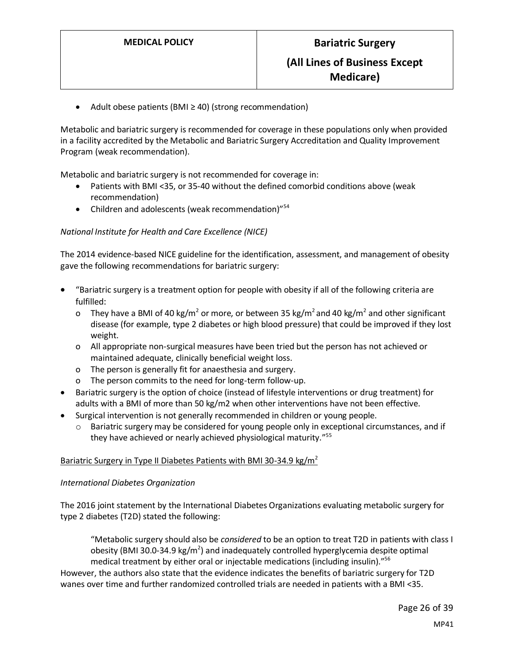Adult obese patients (BMI  $\geq$  40) (strong recommendation)

Metabolic and bariatric surgery is recommended for coverage in these populations only when provided in a facility accredited by the Metabolic and Bariatric Surgery Accreditation and Quality Improvement Program (weak recommendation).

Metabolic and bariatric surgery is not recommended for coverage in:

- Patients with BMI <35, or 35-40 without the defined comorbid conditions above (weak recommendation)
- Children and adolescents (weak recommendation)"<sup>54</sup>

#### *National Institute for Health and Care Excellence (NICE)*

The 2014 evidence-based NICE guideline for the identification, assessment, and management of obesity gave the following recommendations for bariatric surgery:

- "Bariatric surgery is a treatment option for people with obesity if all of the following criteria are fulfilled:
	- o They have a BMI of 40 kg/m<sup>2</sup> or more, or between 35 kg/m<sup>2</sup> and 40 kg/m<sup>2</sup> and other significant disease (for example, type 2 diabetes or high blood pressure) that could be improved if they lost weight.
	- o All appropriate non-surgical measures have been tried but the person has not achieved or maintained adequate, clinically beneficial weight loss.
	- o The person is generally fit for anaesthesia and surgery.
	- o The person commits to the need for long-term follow-up.
- Bariatric surgery is the option of choice (instead of lifestyle interventions or drug treatment) for adults with a BMI of more than 50 kg/m2 when other interventions have not been effective.
- Surgical intervention is not generally recommended in children or young people.
	- $\circ$  Bariatric surgery may be considered for young people only in exceptional circumstances, and if they have achieved or nearly achieved physiological maturity."<sup>55</sup>

#### Bariatric Surgery in Type II Diabetes Patients with BMI 30-34.9 kg/m<sup>2</sup>

#### *International Diabetes Organization*

The 2016 joint statement by the International Diabetes Organizations evaluating metabolic surgery for type 2 diabetes (T2D) stated the following:

"Metabolic surgery should also be *considered* to be an option to treat T2D in patients with class I obesity (BMI 30.0-34.9 kg/m<sup>2</sup>) and inadequately controlled hyperglycemia despite optimal medical treatment by either oral or injectable medications (including insulin)."<sup>56</sup>

However, the authors also state that the evidence indicates the benefits of bariatric surgery for T2D wanes over time and further randomized controlled trials are needed in patients with a BMI <35.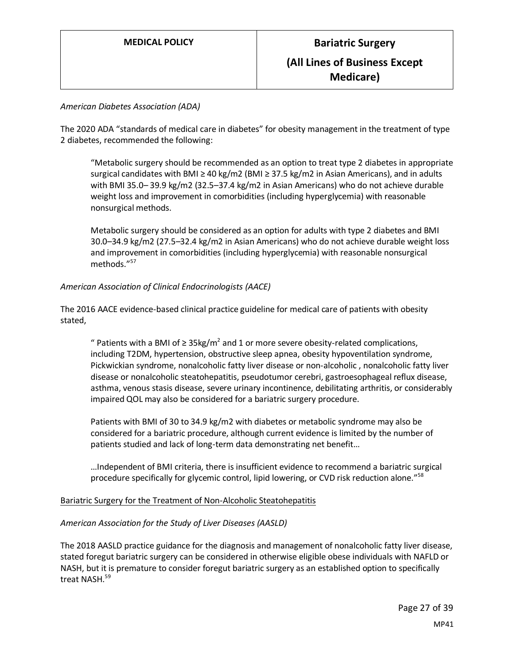#### *American Diabetes Association (ADA)*

The 2020 ADA "standards of medical care in diabetes" for obesity management in the treatment of type 2 diabetes, recommended the following:

"Metabolic surgery should be recommended as an option to treat type 2 diabetes in appropriate surgical candidates with BMI ≥ 40 kg/m2 (BMI ≥ 37.5 kg/m2 in Asian Americans), and in adults with BMI 35.0– 39.9 kg/m2 (32.5–37.4 kg/m2 in Asian Americans) who do not achieve durable weight loss and improvement in comorbidities (including hyperglycemia) with reasonable nonsurgical methods.

Metabolic surgery should be considered as an option for adults with type 2 diabetes and BMI 30.0–34.9 kg/m2 (27.5–32.4 kg/m2 in Asian Americans) who do not achieve durable weight loss and improvement in comorbidities (including hyperglycemia) with reasonable nonsurgical methods." 57

#### *American Association of Clinical Endocrinologists (AACE)*

The 2016 AACE evidence-based clinical practice guideline for medical care of patients with obesity stated,

" Patients with a BMI of ≥ 35kg/m<sup>2</sup> and 1 or more severe obesity-related complications, including T2DM, hypertension, obstructive sleep apnea, obesity hypoventilation syndrome, Pickwickian syndrome, nonalcoholic fatty liver disease or non-alcoholic , nonalcoholic fatty liver disease or nonalcoholic steatohepatitis, pseudotumor cerebri, gastroesophageal reflux disease, asthma, venous stasis disease, severe urinary incontinence, debilitating arthritis, or considerably impaired QOL may also be considered for a bariatric surgery procedure.

Patients with BMI of 30 to 34.9 kg/m2 with diabetes or metabolic syndrome may also be considered for a bariatric procedure, although current evidence is limited by the number of patients studied and lack of long-term data demonstrating net benefit…

…Independent of BMI criteria, there is insufficient evidence to recommend a bariatric surgical procedure specifically for glycemic control, lipid lowering, or CVD risk reduction alone."<sup>58</sup>

#### Bariatric Surgery for the Treatment of Non-Alcoholic Steatohepatitis

#### *American Association for the Study of Liver Diseases (AASLD)*

The 2018 AASLD practice guidance for the diagnosis and management of nonalcoholic fatty liver disease, stated foregut bariatric surgery can be considered in otherwise eligible obese individuals with NAFLD or NASH, but it is premature to consider foregut bariatric surgery as an established option to specifically treat NASH.<sup>59</sup>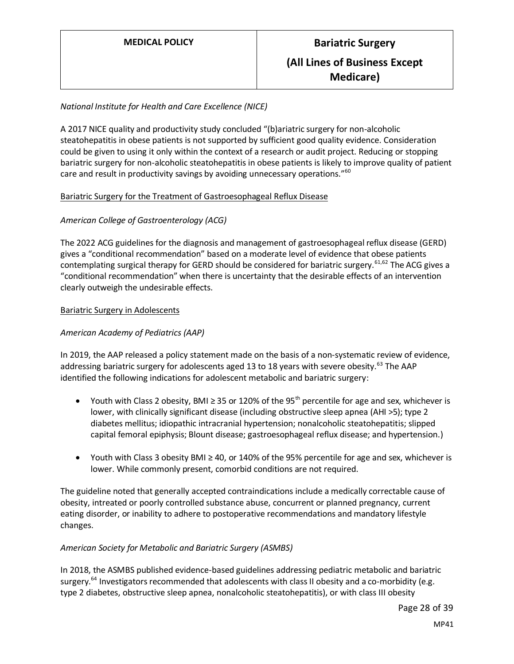#### *National Institute for Health and Care Excellence (NICE)*

A 2017 NICE quality and productivity study concluded "(b)ariatric surgery for non-alcoholic steatohepatitis in obese patients is not supported by sufficient good quality evidence. Consideration could be given to using it only within the context of a research or audit project. Reducing or stopping bariatric surgery for non-alcoholic steatohepatitis in obese patients is likely to improve quality of patient care and result in productivity savings by avoiding unnecessary operations."<sup>60</sup>

#### Bariatric Surgery for the Treatment of Gastroesophageal Reflux Disease

#### *American College of Gastroenterology (ACG)*

The 2022 ACG guidelines for the diagnosis and management of gastroesophageal reflux disease (GERD) gives a "conditional recommendation" based on a moderate level of evidence that obese patients contemplating surgical therapy for GERD should be considered for bariatric surgery.<sup>61,62</sup> The ACG gives a "conditional recommendation" when there is uncertainty that the desirable effects of an intervention clearly outweigh the undesirable effects.

#### Bariatric Surgery in Adolescents

#### *American Academy of Pediatrics (AAP)*

In 2019, the AAP released a policy statement made on the basis of a non-systematic review of evidence, addressing bariatric surgery for adolescents aged 13 to 18 years with severe obesity.<sup>63</sup> The AAP identified the following indications for adolescent metabolic and bariatric surgery:

- Youth with Class 2 obesity, BMI ≥ 35 or 120% of the 95<sup>th</sup> percentile for age and sex, whichever is lower, with clinically significant disease (including obstructive sleep apnea (AHI >5); type 2 diabetes mellitus; idiopathic intracranial hypertension; nonalcoholic steatohepatitis; slipped capital femoral epiphysis; Blount disease; gastroesophageal reflux disease; and hypertension.)
- Youth with Class 3 obesity BMI ≥ 40, or 140% of the 95% percentile for age and sex, whichever is lower. While commonly present, comorbid conditions are not required.

The guideline noted that generally accepted contraindications include a medically correctable cause of obesity, intreated or poorly controlled substance abuse, concurrent or planned pregnancy, current eating disorder, or inability to adhere to postoperative recommendations and mandatory lifestyle changes.

#### *American Society for Metabolic and Bariatric Surgery (ASMBS)*

In 2018, the ASMBS published evidence-based guidelines addressing pediatric metabolic and bariatric surgery.<sup>64</sup> Investigators recommended that adolescents with class II obesity and a co-morbidity (e.g. type 2 diabetes, obstructive sleep apnea, nonalcoholic steatohepatitis), or with class III obesity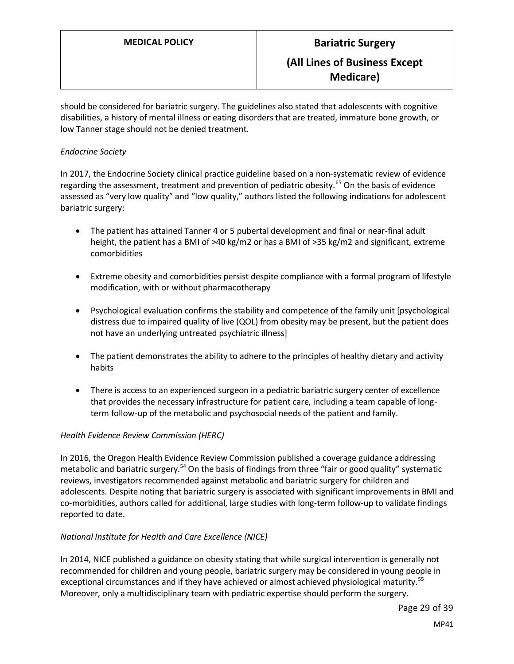should be considered for bariatric surgery. The guidelines also stated that adolescents with cognitive disabilities, a history of mental illness or eating disorders that are treated, immature bone growth, or low Tanner stage should not be denied treatment.

#### *Endocrine Society*

In 2017, the Endocrine Society clinical practice guideline based on a non-systematic review of evidence regarding the assessment, treatment and prevention of pediatric obesity.<sup>65</sup> On the basis of evidence assessed as "very low quality" and "low quality," authors listed the following indications for adolescent bariatric surgery:

- The patient has attained Tanner 4 or 5 pubertal development and final or near-final adult height, the patient has a BMI of >40 kg/m2 or has a BMI of >35 kg/m2 and significant, extreme comorbidities
- Extreme obesity and comorbidities persist despite compliance with a formal program of lifestyle modification, with or without pharmacotherapy
- Psychological evaluation confirms the stability and competence of the family unit [psychological distress due to impaired quality of live (QOL) from obesity may be present, but the patient does not have an underlying untreated psychiatric illness]
- The patient demonstrates the ability to adhere to the principles of healthy dietary and activity habits
- There is access to an experienced surgeon in a pediatric bariatric surgery center of excellence that provides the necessary infrastructure for patient care, including a team capable of longterm follow-up of the metabolic and psychosocial needs of the patient and family.

#### *Health Evidence Review Commission (HERC)*

In 2016, the Oregon Health Evidence Review Commission published a coverage guidance addressing metabolic and bariatric surgery.<sup>54</sup> On the basis of findings from three "fair or good quality" systematic reviews, investigators recommended against metabolic and bariatric surgery for children and adolescents. Despite noting that bariatric surgery is associated with significant improvements in BMI and co-morbidities, authors called for additional, large studies with long-term follow-up to validate findings reported to date.

#### *National Institute for Health and Care Excellence (NICE)*

In 2014, NICE published a guidance on obesity stating that while surgical intervention is generally not recommended for children and young people, bariatric surgery may be considered in young people in exceptional circumstances and if they have achieved or almost achieved physiological maturity.<sup>55</sup> Moreover, only a multidisciplinary team with pediatric expertise should perform the surgery.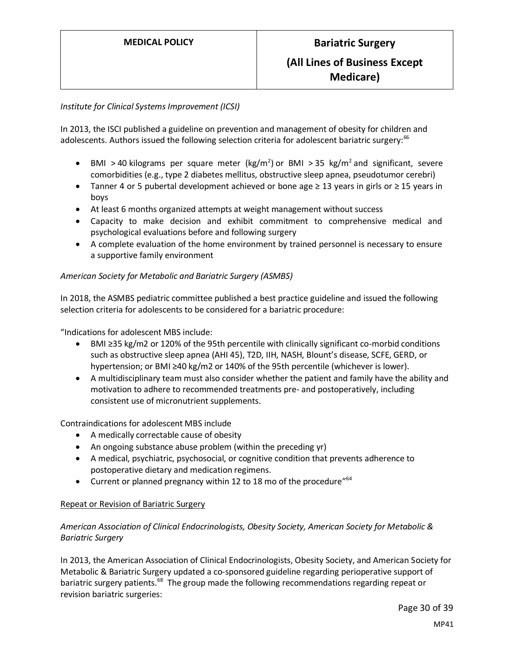#### *Institute for Clinical Systems Improvement (ICSI)*

In 2013, the ISCI published a guideline on prevention and management of obesity for children and adolescents. Authors issued the following selection criteria for adolescent bariatric surgery:<sup>66</sup>

- BMI > 40 kilograms per square meter (kg/m<sup>2</sup>) or BMI > 35 kg/m<sup>2</sup> and significant, severe comorbidities (e.g., type 2 diabetes mellitus, obstructive sleep apnea, pseudotumor cerebri)
- Tanner 4 or 5 pubertal development achieved or bone age ≥ 13 years in girls or ≥ 15 years in boys
- At least 6 months organized attempts at weight management without success
- Capacity to make decision and exhibit commitment to comprehensive medical and psychological evaluations before and following surgery
- A complete evaluation of the home environment by trained personnel is necessary to ensure a supportive family environment

#### *American Society for Metabolic and Bariatric Surgery (ASMBS)*

In 2018, the ASMBS pediatric committee published a best practice guideline and issued the following selection criteria for adolescents to be considered for a bariatric procedure:

"Indications for adolescent MBS include:

- BMI ≥35 kg/m2 or 120% of the 95th percentile with clinically significant co-morbid conditions such as obstructive sleep apnea (AHI 45), T2D, IIH, NASH, Blount's disease, SCFE, GERD, or hypertension; or BMI ≥40 kg/m2 or 140% of the 95th percentile (whichever is lower).
- A multidisciplinary team must also consider whether the patient and family have the ability and motivation to adhere to recommended treatments pre- and postoperatively, including consistent use of micronutrient supplements.

Contraindications for adolescent MBS include

- A medically correctable cause of obesity
- An ongoing substance abuse problem (within the preceding yr)
- A medical, psychiatric, psychosocial, or cognitive condition that prevents adherence to postoperative dietary and medication regimens.
- Current or planned pregnancy within 12 to 18 mo of the procedure<sup>"64</sup>

#### Repeat or Revision of Bariatric Surgery

#### *American Association of Clinical Endocrinologists, Obesity Society, American Society for Metabolic & Bariatric Surgery*

In 2013, the American Association of Clinical Endocrinologists, Obesity Society, and American Society for Metabolic & Bariatric Surgery updated a co-sponsored guideline regarding perioperative support of bariatric surgery patients.<sup>68</sup> The group made the following recommendations regarding repeat or revision bariatric surgeries:

Page 30 of 39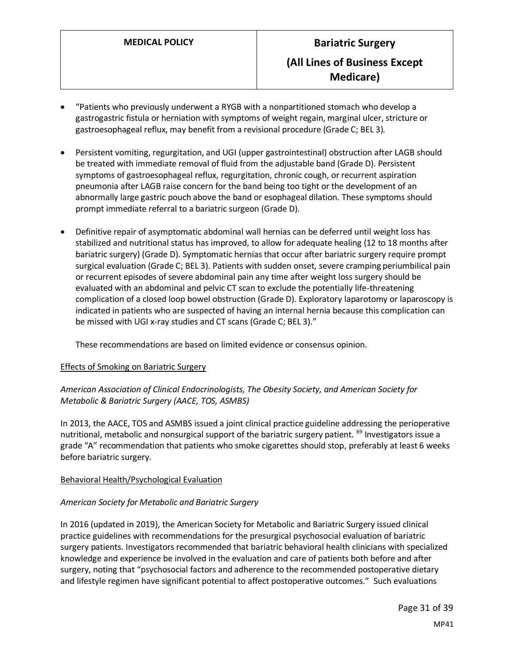- "Patients who previously underwent a RYGB with a nonpartitioned stomach who develop a gastrogastric fistula or herniation with symptoms of weight regain, marginal ulcer, stricture or gastroesophageal reflux, may benefit from a revisional procedure (Grade C; BEL 3).
- Persistent vomiting, regurgitation, and UGI (upper gastrointestinal) obstruction after LAGB should be treated with immediate removal of fluid from the adjustable band (Grade D). Persistent symptoms of gastroesophageal reflux, regurgitation, chronic cough, or recurrent aspiration pneumonia after LAGB raise concern for the band being too tight or the development of an abnormally large gastric pouch above the band or esophageal dilation. These symptoms should prompt immediate referral to a bariatric surgeon (Grade D).
- Definitive repair of asymptomatic abdominal wall hernias can be deferred until weight loss has stabilized and nutritional status has improved, to allow for adequate healing (12 to 18 months after bariatric surgery) (Grade D). Symptomatic hernias that occur after bariatric surgery require prompt surgical evaluation (Grade C; BEL 3). Patients with sudden onset, severe cramping periumbilical pain or recurrent episodes of severe abdominal pain any time after weight loss surgery should be evaluated with an abdominal and pelvic CT scan to exclude the potentially life-threatening complication of a closed loop bowel obstruction (Grade D). Exploratory laparotomy or laparoscopy is indicated in patients who are suspected of having an internal hernia because this complication can be missed with UGI x-ray studies and CT scans (Grade C; BEL 3)."

These recommendations are based on limited evidence or consensus opinion.

#### Effects of Smoking on Bariatric Surgery

*American Association of Clinical Endocrinologists, The Obesity Society, and American Society for Metabolic & Bariatric Surgery (AACE, TOS, ASMBS)*

In 2013, the AACE, TOS and ASMBS issued a joint clinical practice guideline addressing the perioperative nutritional, metabolic and nonsurgical support of the bariatric surgery patient. <sup>69</sup> Investigators issue a grade "A" recommendation that patients who smoke cigarettes should stop, preferably at least 6 weeks before bariatric surgery.

#### Behavioral Health/Psychological Evaluation

#### *American Society for Metabolic and Bariatric Surgery*

In 2016 (updated in 2019), the American Society for Metabolic and Bariatric Surgery issued clinical practice guidelines with recommendations for the presurgical psychosocial evaluation of bariatric surgery patients. Investigators recommended that bariatric behavioral health clinicians with specialized knowledge and experience be involved in the evaluation and care of patients both before and after surgery, noting that "psychosocial factors and adherence to the recommended postoperative dietary and lifestyle regimen have significant potential to affect postoperative outcomes." Such evaluations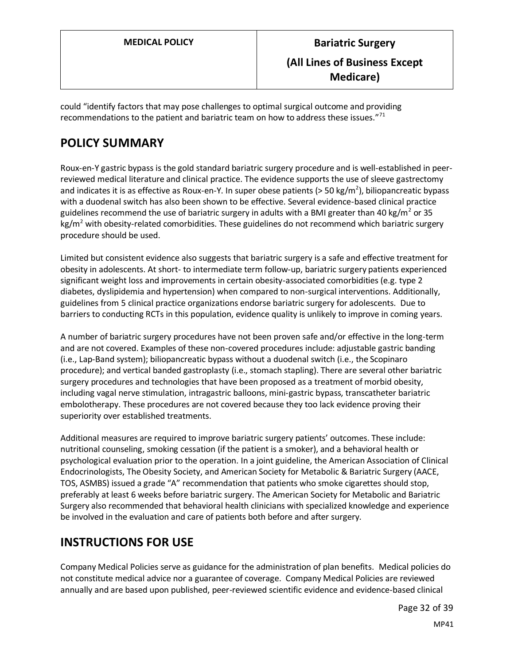could "identify factors that may pose challenges to optimal surgical outcome and providing recommendations to the patient and bariatric team on how to address these issues."<sup>71</sup>

# <span id="page-31-0"></span>**POLICY SUMMARY**

Roux-en-Y gastric bypass is the gold standard bariatric surgery procedure and is well-established in peerreviewed medical literature and clinical practice. The evidence supports the use of sleeve gastrectomy and indicates it is as effective as Roux-en-Y. In super obese patients (> 50 kg/m<sup>2</sup>), biliopancreatic bypass with a duodenal switch has also been shown to be effective. Several evidence-based clinical practice guidelines recommend the use of bariatric surgery in adults with a BMI greater than 40 kg/m<sup>2</sup> or 35  $kg/m<sup>2</sup>$  with obesity-related comorbidities. These guidelines do not recommend which bariatric surgery procedure should be used.

Limited but consistent evidence also suggests that bariatric surgery is a safe and effective treatment for obesity in adolescents. At short- to intermediate term follow-up, bariatric surgery patients experienced significant weight loss and improvements in certain obesity-associated comorbidities (e.g. type 2 diabetes, dyslipidemia and hypertension) when compared to non-surgical interventions. Additionally, guidelines from 5 clinical practice organizations endorse bariatric surgery for adolescents. Due to barriers to conducting RCTs in this population, evidence quality is unlikely to improve in coming years.

A number of bariatric surgery procedures have not been proven safe and/or effective in the long-term and are not covered. Examples of these non-covered procedures include: adjustable gastric banding (i.e., Lap-Band system); biliopancreatic bypass without a duodenal switch (i.e., the Scopinaro procedure); and vertical banded gastroplasty (i.e., stomach stapling). There are several other bariatric surgery procedures and technologies that have been proposed as a treatment of morbid obesity, including vagal nerve stimulation, intragastric balloons, mini-gastric bypass, transcatheter bariatric embolotherapy. These procedures are not covered because they too lack evidence proving their superiority over established treatments.

Additional measures are required to improve bariatric surgery patients' outcomes. These include: nutritional counseling, smoking cessation (if the patient is a smoker), and a behavioral health or psychological evaluation prior to the operation. In a joint guideline, the American Association of Clinical Endocrinologists, The Obesity Society, and American Society for Metabolic & Bariatric Surgery (AACE, TOS, ASMBS) issued a grade "A" recommendation that patients who smoke cigarettes should stop, preferably at least 6 weeks before bariatric surgery. The American Society for Metabolic and Bariatric Surgery also recommended that behavioral health clinicians with specialized knowledge and experience be involved in the evaluation and care of patients both before and after surgery.

# **INSTRUCTIONS FOR USE**

Company Medical Policies serve as guidance for the administration of plan benefits. Medical policies do not constitute medical advice nor a guarantee of coverage. Company Medical Policies are reviewed annually and are based upon published, peer-reviewed scientific evidence and evidence-based clinical

Page 32 of 39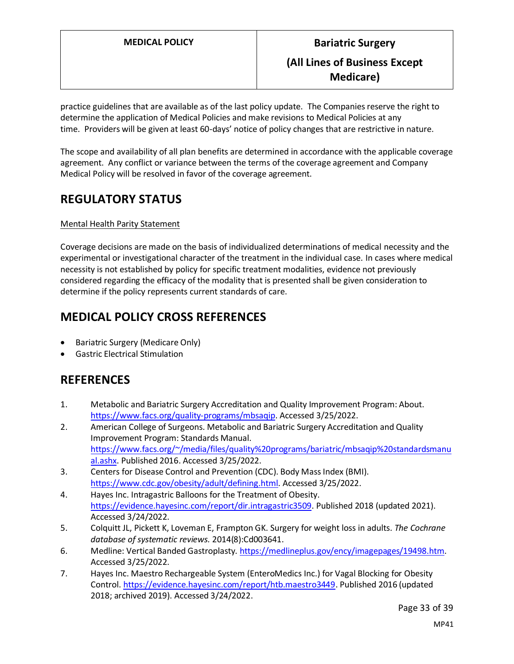practice guidelines that are available as of the last policy update. The Companies reserve the right to determine the application of Medical Policies and make revisions to Medical Policies at any time. Providers will be given at least 60-days' notice of policy changes that are restrictive in nature.

The scope and availability of all plan benefits are determined in accordance with the applicable coverage agreement. Any conflict or variance between the terms of the coverage agreement and Company Medical Policy will be resolved in favor of the coverage agreement.

# **REGULATORY STATUS**

#### Mental Health Parity Statement

Coverage decisions are made on the basis of individualized determinations of medical necessity and the experimental or investigational character of the treatment in the individual case. In cases where medical necessity is not established by policy for specific treatment modalities, evidence not previously considered regarding the efficacy of the modality that is presented shall be given consideration to determine if the policy represents current standards of care.

# **MEDICAL POLICY CROSS REFERENCES**

- Bariatric Surgery (Medicare Only)
- Gastric Electrical Stimulation

# **REFERENCES**

- 1. Metabolic and Bariatric Surgery Accreditation and Quality Improvement Program: About. [https://www.facs.org/quality-programs/mbsaqip.](https://www.facs.org/quality-programs/mbsaqip) Accessed 3/25/2022.
- 2. American College of Surgeons. Metabolic and Bariatric Surgery Accreditation and Quality Improvement Program: Standards Manual. [https://www.facs.org/~/media/files/quality%20programs/bariatric/mbsaqip%20standardsmanu](https://www.facs.org/~/media/files/quality%20programs/bariatric/mbsaqip%20standardsmanual.ashx) [al.ashx.](https://www.facs.org/~/media/files/quality%20programs/bariatric/mbsaqip%20standardsmanual.ashx) Published 2016. Accessed 3/25/2022.
- 3. Centers for Disease Control and Prevention (CDC). Body Mass Index (BMI). [https://www.cdc.gov/obesity/adult/defining.html.](https://www.cdc.gov/obesity/adult/defining.html) Accessed 3/25/2022.
- 4. Hayes Inc. Intragastric Balloons for the Treatment of Obesity. [https://evidence.hayesinc.com/report/dir.intragastric3509.](https://evidence.hayesinc.com/report/dir.intragastric3509) Published 2018 (updated 2021). Accessed 3/24/2022.
- 5. Colquitt JL, Pickett K, Loveman E, Frampton GK. Surgery for weight loss in adults. *The Cochrane database of systematic reviews.* 2014(8):Cd003641.
- 6. Medline: Vertical Banded Gastroplasty. [https://medlineplus.gov/ency/imagepages/19498.htm.](https://medlineplus.gov/ency/imagepages/19498.htm) Accessed 3/25/2022.
- 7. Hayes Inc. Maestro Rechargeable System (EnteroMedics Inc.) for Vagal Blocking for Obesity Control[. https://evidence.hayesinc.com/report/htb.maestro3449.](https://evidence.hayesinc.com/report/htb.maestro3449) Published 2016 (updated 2018; archived 2019). Accessed 3/24/2022.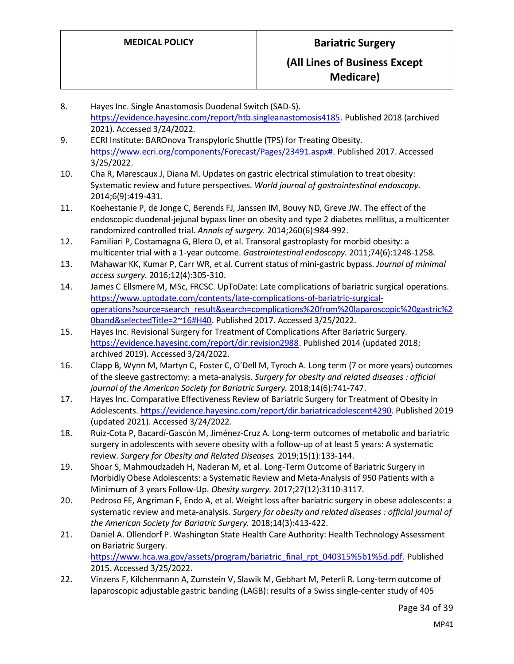- 8. Hayes Inc. Single Anastomosis Duodenal Switch (SAD-S). [https://evidence.hayesinc.com/report/htb.singleanastomosis4185.](https://evidence.hayesinc.com/report/htb.singleanastomosis4185) Published 2018 (archived 2021). Accessed 3/24/2022.
- 9. ECRI Institute: BAROnova Transpyloric Shuttle (TPS) for Treating Obesity. [https://www.ecri.org/components/Forecast/Pages/23491.aspx#.](https://www.ecri.org/components/Forecast/Pages/23491.aspx) Published 2017. Accessed 3/25/2022.
- 10. Cha R, Marescaux J, Diana M. Updates on gastric electrical stimulation to treat obesity: Systematic review and future perspectives. *World journal of gastrointestinal endoscopy.*  2014;6(9):419-431.
- 11. Koehestanie P, de Jonge C, Berends FJ, Janssen IM, Bouvy ND, Greve JW. The effect of the endoscopic duodenal-jejunal bypass liner on obesity and type 2 diabetes mellitus, a multicenter randomized controlled trial. *Annals of surgery.* 2014;260(6):984-992.
- 12. Familiari P, Costamagna G, Blero D, et al. Transoral gastroplasty for morbid obesity: a multicenter trial with a 1-year outcome. *Gastrointestinal endoscopy.* 2011;74(6):1248-1258.
- 13. Mahawar KK, Kumar P, Carr WR, et al. Current status of mini-gastric bypass. *Journal of minimal access surgery.* 2016;12(4):305-310.
- 14. James C Ellsmere M, MSc, FRCSC. UpToDate: Late complications of bariatric surgical operations. [https://www.uptodate.com/contents/late-complications-of-bariatric-surgical](https://www.uptodate.com/contents/late-complications-of-bariatric-surgical-operations?source=search_result&search=complications%20from%20laparoscopic%20gastric%20band&selectedTitle=2~16#H40)[operations?source=search\\_result&search=complications%20from%20laparoscopic%20gastric%2](https://www.uptodate.com/contents/late-complications-of-bariatric-surgical-operations?source=search_result&search=complications%20from%20laparoscopic%20gastric%20band&selectedTitle=2~16#H40) [0band&selectedTitle=2~16#H40.](https://www.uptodate.com/contents/late-complications-of-bariatric-surgical-operations?source=search_result&search=complications%20from%20laparoscopic%20gastric%20band&selectedTitle=2~16#H40) Published 2017. Accessed 3/25/2022.
- 15. Hayes Inc. Revisional Surgery for Treatment of Complications After Bariatric Surgery. [https://evidence.hayesinc.com/report/dir.revision2988.](https://evidence.hayesinc.com/report/dir.revision2988) Published 2014 (updated 2018; archived 2019). Accessed 3/24/2022.
- 16. Clapp B, Wynn M, Martyn C, Foster C, O'Dell M, Tyroch A. Long term (7 or more years) outcomes of the sleeve gastrectomy: a meta-analysis. *Surgery for obesity and related diseases : official journal of the American Society for Bariatric Surgery.* 2018;14(6):741-747.
- 17. Hayes Inc. Comparative Effectiveness Review of Bariatric Surgery for Treatment of Obesity in Adolescents. [https://evidence.hayesinc.com/report/dir.bariatricadolescent4290.](https://evidence.hayesinc.com/report/dir.bariatricadolescent4290) Published 2019 (updated 2021). Accessed 3/24/2022.
- 18. Ruiz-Cota P, Bacardí-Gascón M, Jiménez-Cruz A. Long-term outcomes of metabolic and bariatric surgery in adolescents with severe obesity with a follow-up of at least 5 years: A systematic review. *Surgery for Obesity and Related Diseases.* 2019;15(1):133-144.
- 19. Shoar S, Mahmoudzadeh H, Naderan M, et al. Long-Term Outcome of Bariatric Surgery in Morbidly Obese Adolescents: a Systematic Review and Meta-Analysis of 950 Patients with a Minimum of 3 years Follow-Up. *Obesity surgery.* 2017;27(12):3110-3117.
- 20. Pedroso FE, Angriman F, Endo A, et al. Weight loss after bariatric surgery in obese adolescents: a systematic review and meta-analysis. *Surgery for obesity and related diseases : official journal of the American Society for Bariatric Surgery.* 2018;14(3):413-422.
- 21. Daniel A. Ollendorf P. Washington State Health Care Authority: Health Technology Assessment on Bariatric Surgery. [https://www.hca.wa.gov/assets/program/bariatric\\_final\\_rpt\\_040315%5b1%5d.pdf.](https://www.hca.wa.gov/assets/program/bariatric_final_rpt_040315%5b1%5d.pdf) Published 2015. Accessed 3/25/2022.
- 22. Vinzens F, Kilchenmann A, Zumstein V, Slawik M, Gebhart M, Peterli R. Long-term outcome of laparoscopic adjustable gastric banding (LAGB): results of a Swiss single-center study of 405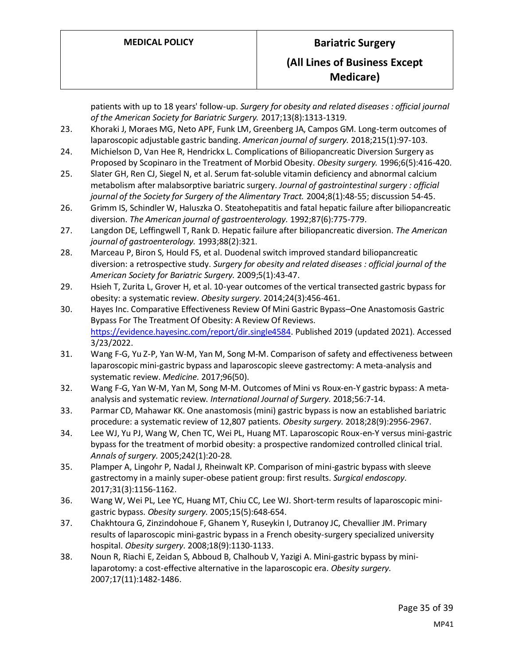patients with up to 18 years' follow-up. *Surgery for obesity and related diseases : official journal of the American Society for Bariatric Surgery.* 2017;13(8):1313-1319.

- 23. Khoraki J, Moraes MG, Neto APF, Funk LM, Greenberg JA, Campos GM. Long-term outcomes of laparoscopic adjustable gastric banding. *American journal of surgery.* 2018;215(1):97-103.
- 24. Michielson D, Van Hee R, Hendrickx L. Complications of Biliopancreatic Diversion Surgery as Proposed by Scopinaro in the Treatment of Morbid Obesity. *Obesity surgery.* 1996;6(5):416-420.
- 25. Slater GH, Ren CJ, Siegel N, et al. Serum fat-soluble vitamin deficiency and abnormal calcium metabolism after malabsorptive bariatric surgery. *Journal of gastrointestinal surgery : official journal of the Society for Surgery of the Alimentary Tract.* 2004;8(1):48-55; discussion 54-45.
- 26. Grimm IS, Schindler W, Haluszka O. Steatohepatitis and fatal hepatic failure after biliopancreatic diversion. *The American journal of gastroenterology.* 1992;87(6):775-779.
- 27. Langdon DE, Leffingwell T, Rank D. Hepatic failure after biliopancreatic diversion. *The American journal of gastroenterology.* 1993;88(2):321.
- 28. Marceau P, Biron S, Hould FS, et al. Duodenal switch improved standard biliopancreatic diversion: a retrospective study. *Surgery for obesity and related diseases : official journal of the American Society for Bariatric Surgery.* 2009;5(1):43-47.
- 29. Hsieh T, Zurita L, Grover H, et al. 10-year outcomes of the vertical transected gastric bypass for obesity: a systematic review. *Obesity surgery.* 2014;24(3):456-461.
- 30. Hayes Inc. Comparative Effectiveness Review Of Mini Gastric Bypass–One Anastomosis Gastric Bypass For The Treatment Of Obesity: A Review Of Reviews. [https://evidence.hayesinc.com/report/dir.single4584.](https://evidence.hayesinc.com/report/dir.single4584) Published 2019 (updated 2021). Accessed 3/23/2022.
- 31. Wang F-G, Yu Z-P, Yan W-M, Yan M, Song M-M. Comparison of safety and effectiveness between laparoscopic mini-gastric bypass and laparoscopic sleeve gastrectomy: A meta-analysis and systematic review. *Medicine.* 2017;96(50).
- 32. Wang F-G, Yan W-M, Yan M, Song M-M. Outcomes of Mini vs Roux-en-Y gastric bypass: A metaanalysis and systematic review. *International Journal of Surgery.* 2018;56:7-14.
- 33. Parmar CD, Mahawar KK. One anastomosis (mini) gastric bypass is now an established bariatric procedure: a systematic review of 12,807 patients. *Obesity surgery.* 2018;28(9):2956-2967.
- 34. Lee WJ, Yu PJ, Wang W, Chen TC, Wei PL, Huang MT. Laparoscopic Roux-en-Y versus mini-gastric bypass for the treatment of morbid obesity: a prospective randomized controlled clinical trial. *Annals of surgery.* 2005;242(1):20-28.
- 35. Plamper A, Lingohr P, Nadal J, Rheinwalt KP. Comparison of mini-gastric bypass with sleeve gastrectomy in a mainly super-obese patient group: first results. *Surgical endoscopy.*  2017;31(3):1156-1162.
- 36. Wang W, Wei PL, Lee YC, Huang MT, Chiu CC, Lee WJ. Short-term results of laparoscopic minigastric bypass. *Obesity surgery.* 2005;15(5):648-654.
- 37. Chakhtoura G, Zinzindohoue F, Ghanem Y, Ruseykin I, Dutranoy JC, Chevallier JM. Primary results of laparoscopic mini-gastric bypass in a French obesity-surgery specialized university hospital. *Obesity surgery.* 2008;18(9):1130-1133.
- 38. Noun R, Riachi E, Zeidan S, Abboud B, Chalhoub V, Yazigi A. Mini-gastric bypass by minilaparotomy: a cost-effective alternative in the laparoscopic era. *Obesity surgery.*  2007;17(11):1482-1486.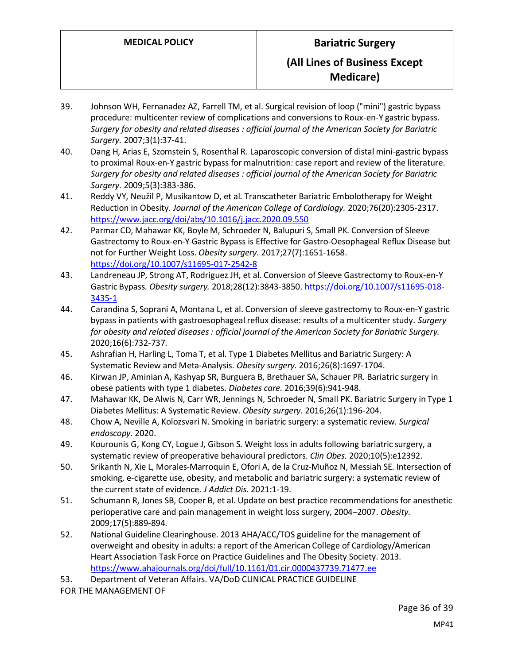- 39. Johnson WH, Fernanadez AZ, Farrell TM, et al. Surgical revision of loop ("mini") gastric bypass procedure: multicenter review of complications and conversions to Roux-en-Y gastric bypass. *Surgery for obesity and related diseases : official journal of the American Society for Bariatric Surgery.* 2007;3(1):37-41.
- 40. Dang H, Arias E, Szomstein S, Rosenthal R. Laparoscopic conversion of distal mini-gastric bypass to proximal Roux-en-Y gastric bypass for malnutrition: case report and review of the literature. *Surgery for obesity and related diseases : official journal of the American Society for Bariatric Surgery.* 2009;5(3):383-386.
- 41. Reddy VY, Neužil P, Musikantow D, et al. Transcatheter Bariatric Embolotherapy for Weight Reduction in Obesity. *Journal of the American College of Cardiology.* 2020;76(20):2305-2317. <https://www.jacc.org/doi/abs/10.1016/j.jacc.2020.09.550>
- 42. Parmar CD, Mahawar KK, Boyle M, Schroeder N, Balupuri S, Small PK. Conversion of Sleeve Gastrectomy to Roux-en-Y Gastric Bypass is Effective for Gastro-Oesophageal Reflux Disease but not for Further Weight Loss. *Obesity surgery.* 2017;27(7):1651-1658. <https://doi.org/10.1007/s11695-017-2542-8>
- 43. Landreneau JP, Strong AT, Rodriguez JH, et al. Conversion of Sleeve Gastrectomy to Roux-en-Y Gastric Bypass. *Obesity surgery.* 2018;28(12):3843-3850[. https://doi.org/10.1007/s11695-018-](https://doi.org/10.1007/s11695-018-3435-1) [3435-1](https://doi.org/10.1007/s11695-018-3435-1)
- 44. Carandina S, Soprani A, Montana L, et al. Conversion of sleeve gastrectomy to Roux-en-Y gastric bypass in patients with gastroesophageal reflux disease: results of a multicenter study. *Surgery for obesity and related diseases : official journal of the American Society for Bariatric Surgery.*  2020;16(6):732-737.
- 45. Ashrafian H, Harling L, Toma T, et al. Type 1 Diabetes Mellitus and Bariatric Surgery: A Systematic Review and Meta-Analysis. *Obesity surgery.* 2016;26(8):1697-1704.
- 46. Kirwan JP, Aminian A, Kashyap SR, Burguera B, Brethauer SA, Schauer PR. Bariatric surgery in obese patients with type 1 diabetes. *Diabetes care.* 2016;39(6):941-948.
- 47. Mahawar KK, De Alwis N, Carr WR, Jennings N, Schroeder N, Small PK. Bariatric Surgery in Type 1 Diabetes Mellitus: A Systematic Review. *Obesity surgery.* 2016;26(1):196-204.
- 48. Chow A, Neville A, Kolozsvari N. Smoking in bariatric surgery: a systematic review. *Surgical endoscopy.* 2020.
- 49. Kourounis G, Kong CY, Logue J, Gibson S. Weight loss in adults following bariatric surgery, a systematic review of preoperative behavioural predictors. *Clin Obes.* 2020;10(5):e12392.
- 50. Srikanth N, Xie L, Morales-Marroquin E, Ofori A, de la Cruz-Muñoz N, Messiah SE. Intersection of smoking, e-cigarette use, obesity, and metabolic and bariatric surgery: a systematic review of the current state of evidence. *J Addict Dis.* 2021:1-19.
- 51. Schumann R, Jones SB, Cooper B, et al. Update on best practice recommendations for anesthetic perioperative care and pain management in weight loss surgery, 2004–2007. *Obesity.*  2009;17(5):889-894.
- 52. National Guideline Clearinghouse. 2013 AHA/ACC/TOS guideline for the management of overweight and obesity in adults: a report of the American College of Cardiology/American Heart Association Task Force on Practice Guidelines and The Obesity Society. 2013. <https://www.ahajournals.org/doi/full/10.1161/01.cir.0000437739.71477.ee>
- 53. Department of Veteran Affairs. VA/DoD CLINICAL PRACTICE GUIDELINE

FOR THE MANAGEMENT OF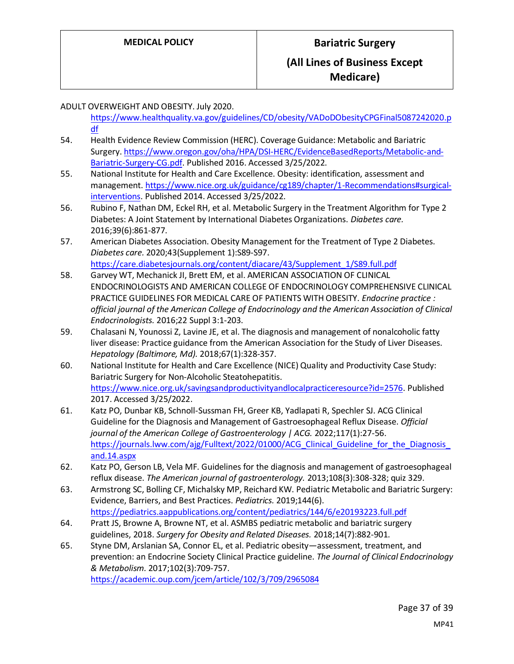ADULT OVERWEIGHT AND OBESITY. July 2020.

- [https://www.healthquality.va.gov/guidelines/CD/obesity/VADoDObesityCPGFinal5087242020.p](https://www.healthquality.va.gov/guidelines/CD/obesity/VADoDObesityCPGFinal5087242020.pdf) [df](https://www.healthquality.va.gov/guidelines/CD/obesity/VADoDObesityCPGFinal5087242020.pdf)
- 54. Health Evidence Review Commission (HERC). Coverage Guidance: Metabolic and Bariatric Surgery[. https://www.oregon.gov/oha/HPA/DSI-HERC/EvidenceBasedReports/Metabolic-and-](https://www.oregon.gov/oha/HPA/DSI-HERC/EvidenceBasedReports/Metabolic-and-Bariatric-Surgery-CG.pdf)[Bariatric-Surgery-CG.pdf.](https://www.oregon.gov/oha/HPA/DSI-HERC/EvidenceBasedReports/Metabolic-and-Bariatric-Surgery-CG.pdf) Published 2016. Accessed 3/25/2022.
- 55. National Institute for Health and Care Excellence. Obesity: identification, assessment and management[. https://www.nice.org.uk/guidance/cg189/chapter/1-Recommendations#surgical](https://www.nice.org.uk/guidance/cg189/chapter/1-Recommendations#surgical-interventions)[interventions.](https://www.nice.org.uk/guidance/cg189/chapter/1-Recommendations#surgical-interventions) Published 2014. Accessed 3/25/2022.
- 56. Rubino F, Nathan DM, Eckel RH, et al. Metabolic Surgery in the Treatment Algorithm for Type 2 Diabetes: A Joint Statement by International Diabetes Organizations. *Diabetes care.*  2016;39(6):861-877.
- 57. American Diabetes Association. Obesity Management for the Treatment of Type 2 Diabetes. *Diabetes care.* 2020;43(Supplement 1):S89-S97. [https://care.diabetesjournals.org/content/diacare/43/Supplement\\_1/S89.full.pdf](https://care.diabetesjournals.org/content/diacare/43/Supplement_1/S89.full.pdf)
- 58. Garvey WT, Mechanick JI, Brett EM, et al. AMERICAN ASSOCIATION OF CLINICAL ENDOCRINOLOGISTS AND AMERICAN COLLEGE OF ENDOCRINOLOGY COMPREHENSIVE CLINICAL PRACTICE GUIDELINES FOR MEDICAL CARE OF PATIENTS WITH OBESITY. *Endocrine practice : official journal of the American College of Endocrinology and the American Association of Clinical Endocrinologists.* 2016;22 Suppl 3:1-203.
- 59. Chalasani N, Younossi Z, Lavine JE, et al. The diagnosis and management of nonalcoholic fatty liver disease: Practice guidance from the American Association for the Study of Liver Diseases. *Hepatology (Baltimore, Md).* 2018;67(1):328-357.
- 60. National Institute for Health and Care Excellence (NICE) Quality and Productivity Case Study: Bariatric Surgery for Non-Alcoholic Steatohepatitis. [https://www.nice.org.uk/savingsandproductivityandlocalpracticeresource?id=2576.](https://www.nice.org.uk/savingsandproductivityandlocalpracticeresource?id=2576) Published 2017. Accessed 3/25/2022.
- 61. Katz PO, Dunbar KB, Schnoll-Sussman FH, Greer KB, Yadlapati R, Spechler SJ. ACG Clinical Guideline for the Diagnosis and Management of Gastroesophageal Reflux Disease. *Official journal of the American College of Gastroenterology | ACG.* 2022;117(1):27-56. https://journals.lww.com/ajg/Fulltext/2022/01000/ACG Clinical Guideline for the Diagnosis [and.14.aspx](https://journals.lww.com/ajg/Fulltext/2022/01000/ACG_Clinical_Guideline_for_the_Diagnosis_and.14.aspx)
- 62. Katz PO, Gerson LB, Vela MF. Guidelines for the diagnosis and management of gastroesophageal reflux disease. *The American journal of gastroenterology.* 2013;108(3):308-328; quiz 329.
- 63. Armstrong SC, Bolling CF, Michalsky MP, Reichard KW. Pediatric Metabolic and Bariatric Surgery: Evidence, Barriers, and Best Practices. *Pediatrics.* 2019;144(6). <https://pediatrics.aappublications.org/content/pediatrics/144/6/e20193223.full.pdf>
- 64. Pratt JS, Browne A, Browne NT, et al. ASMBS pediatric metabolic and bariatric surgery guidelines, 2018. *Surgery for Obesity and Related Diseases.* 2018;14(7):882-901.
- 65. Styne DM, Arslanian SA, Connor EL, et al. Pediatric obesity—assessment, treatment, and prevention: an Endocrine Society Clinical Practice guideline. *The Journal of Clinical Endocrinology & Metabolism.* 2017;102(3):709-757. <https://academic.oup.com/jcem/article/102/3/709/2965084>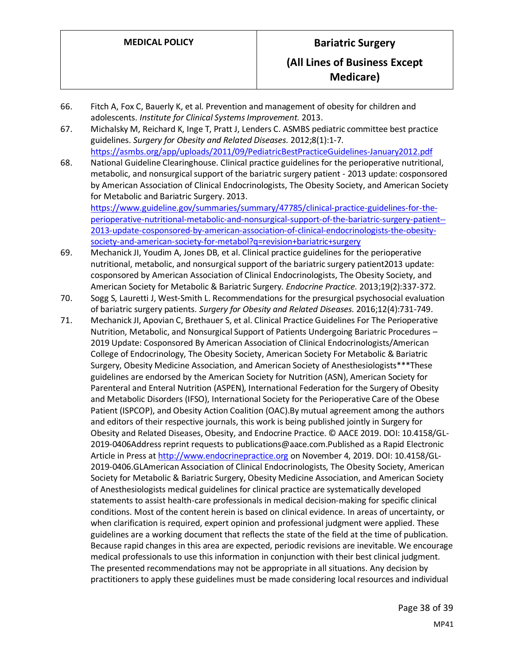- 66. Fitch A, Fox C, Bauerly K, et al. Prevention and management of obesity for children and adolescents. *Institute for Clinical Systems Improvement.* 2013.
- 67. Michalsky M, Reichard K, Inge T, Pratt J, Lenders C. ASMBS pediatric committee best practice guidelines. *Surgery for Obesity and Related Diseases.* 2012;8(1):1-7. <https://asmbs.org/app/uploads/2011/09/PediatricBestPracticeGuidelines-January2012.pdf>
- 68. National Guideline Clearinghouse. Clinical practice guidelines for the perioperative nutritional, metabolic, and nonsurgical support of the bariatric surgery patient - 2013 update: cosponsored by American Association of Clinical Endocrinologists, The Obesity Society, and American Society for Metabolic and Bariatric Surgery. 2013. [https://www.guideline.gov/summaries/summary/47785/clinical-practice-guidelines-for-the-](https://www.guideline.gov/summaries/summary/47785/clinical-practice-guidelines-for-the-perioperative-nutritional-metabolic-and-nonsurgical-support-of-the-bariatric-surgery-patient--2013-update-cosponsored-by-american-association-of-clinical-endocrinologists-the-obesity-society-and-american-society-for-metabol?q=revision+bariatric+surgery)

[perioperative-nutritional-metabolic-and-nonsurgical-support-of-the-bariatric-surgery-patient--](https://www.guideline.gov/summaries/summary/47785/clinical-practice-guidelines-for-the-perioperative-nutritional-metabolic-and-nonsurgical-support-of-the-bariatric-surgery-patient--2013-update-cosponsored-by-american-association-of-clinical-endocrinologists-the-obesity-society-and-american-society-for-metabol?q=revision+bariatric+surgery) [2013-update-cosponsored-by-american-association-of-clinical-endocrinologists-the-obesity](https://www.guideline.gov/summaries/summary/47785/clinical-practice-guidelines-for-the-perioperative-nutritional-metabolic-and-nonsurgical-support-of-the-bariatric-surgery-patient--2013-update-cosponsored-by-american-association-of-clinical-endocrinologists-the-obesity-society-and-american-society-for-metabol?q=revision+bariatric+surgery)[society-and-american-society-for-metabol?q=revision+bariatric+surgery](https://www.guideline.gov/summaries/summary/47785/clinical-practice-guidelines-for-the-perioperative-nutritional-metabolic-and-nonsurgical-support-of-the-bariatric-surgery-patient--2013-update-cosponsored-by-american-association-of-clinical-endocrinologists-the-obesity-society-and-american-society-for-metabol?q=revision+bariatric+surgery)

- 69. Mechanick JI, Youdim A, Jones DB, et al. Clinical practice guidelines for the perioperative nutritional, metabolic, and nonsurgical support of the bariatric surgery patient2013 update: cosponsored by American Association of Clinical Endocrinologists, The Obesity Society, and American Society for Metabolic & Bariatric Surgery. *Endocrine Practice.* 2013;19(2):337-372.
- 70. Sogg S, Lauretti J, West-Smith L. Recommendations for the presurgical psychosocial evaluation of bariatric surgery patients. *Surgery for Obesity and Related Diseases.* 2016;12(4):731-749.
- 71. Mechanick JI, Apovian C, Brethauer S, et al. Clinical Practice Guidelines For The Perioperative Nutrition, Metabolic, and Nonsurgical Support of Patients Undergoing Bariatric Procedures – 2019 Update: Cosponsored By American Association of Clinical Endocrinologists/American College of Endocrinology, The Obesity Society, American Society For Metabolic & Bariatric Surgery, Obesity Medicine Association, and American Society of Anesthesiologists\*\*\*These guidelines are endorsed by the American Society for Nutrition (ASN), American Society for Parenteral and Enteral Nutrition (ASPEN), International Federation for the Surgery of Obesity and Metabolic Disorders (IFSO), International Society for the Perioperative Care of the Obese Patient (ISPCOP), and Obesity Action Coalition (OAC).By mutual agreement among the authors and editors of their respective journals, this work is being published jointly in Surgery for Obesity and Related Diseases, Obesity, and Endocrine Practice. © AACE 2019. DOI: 10.4158/GL-2019-0406Address reprint requests to publications@aace.com.Published as a Rapid Electronic Article in Press at [http://www.endocrinepractice.org](http://www.endocrinepractice.org/) on November 4, 2019. DOI: 10.4158/GL-2019-0406.GLAmerican Association of Clinical Endocrinologists, The Obesity Society, American Society for Metabolic & Bariatric Surgery, Obesity Medicine Association, and American Society of Anesthesiologists medical guidelines for clinical practice are systematically developed statements to assist health-care professionals in medical decision-making for specific clinical conditions. Most of the content herein is based on clinical evidence. In areas of uncertainty, or when clarification is required, expert opinion and professional judgment were applied. These guidelines are a working document that reflects the state of the field at the time of publication. Because rapid changes in this area are expected, periodic revisions are inevitable. We encourage medical professionals to use this information in conjunction with their best clinical judgment. The presented recommendations may not be appropriate in all situations. Any decision by practitioners to apply these guidelines must be made considering local resources and individual